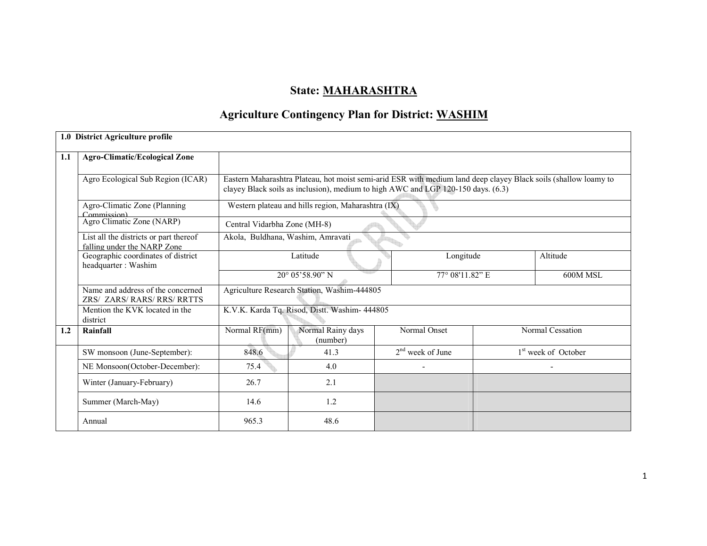# State: MAHARASHTRA

# Agriculture Contingency Plan for District: WASHIM

|     | 1.0 District Agriculture profile                                      |                                                                                                                                                                                                     |                                                    |                    |  |                                 |  |
|-----|-----------------------------------------------------------------------|-----------------------------------------------------------------------------------------------------------------------------------------------------------------------------------------------------|----------------------------------------------------|--------------------|--|---------------------------------|--|
| 1.1 | <b>Agro-Climatic/Ecological Zone</b>                                  |                                                                                                                                                                                                     |                                                    |                    |  |                                 |  |
|     | Agro Ecological Sub Region (ICAR)                                     | Eastern Maharashtra Plateau, hot moist semi-arid ESR with medium land deep clayey Black soils (shallow loamy to<br>clayey Black soils as inclusion), medium to high AWC and LGP 120-150 days. (6.3) |                                                    |                    |  |                                 |  |
|     | Agro-Climatic Zone (Planning<br>Commission)                           |                                                                                                                                                                                                     | Western plateau and hills region, Maharashtra (IX) |                    |  |                                 |  |
|     | Agro Climatic Zone (NARP)                                             | Central Vidarbha Zone (MH-8)                                                                                                                                                                        |                                                    |                    |  |                                 |  |
|     | List all the districts or part thereof<br>falling under the NARP Zone | Akola, Buldhana, Washim, Amravati                                                                                                                                                                   |                                                    |                    |  |                                 |  |
|     | Geographic coordinates of district<br>headquarter: Washim             |                                                                                                                                                                                                     | Latitude                                           | Longitude          |  | Altitude                        |  |
|     |                                                                       |                                                                                                                                                                                                     | 20° 05'58.90" N                                    | 77° 08'11.82" E    |  | 600M MSL                        |  |
|     | Name and address of the concerned<br><b>ZRS/ ZARS/RARS/RRS/RRTTS</b>  |                                                                                                                                                                                                     | Agriculture Research Station, Washim-444805        |                    |  |                                 |  |
|     | Mention the KVK located in the<br>district                            |                                                                                                                                                                                                     | K.V.K. Karda Tq. Risod, Distt. Washim- 444805      |                    |  |                                 |  |
| 1.2 | Rainfall                                                              | Normal RF(mm)                                                                                                                                                                                       | Normal Rainy days<br>(number)                      | Normal Onset       |  | Normal Cessation                |  |
|     | SW monsoon (June-September):                                          | 848.6                                                                                                                                                                                               | 41.3                                               | $2nd$ week of June |  | 1 <sup>st</sup> week of October |  |
|     | NE Monsoon(October-December):                                         | 75.4                                                                                                                                                                                                | 4.0                                                |                    |  |                                 |  |
|     | Winter (January-February)                                             | 26.7                                                                                                                                                                                                | 2.1                                                |                    |  |                                 |  |
|     | Summer (March-May)                                                    | 14.6                                                                                                                                                                                                | 1.2                                                |                    |  |                                 |  |
|     | Annual                                                                | 965.3                                                                                                                                                                                               | 48.6                                               |                    |  |                                 |  |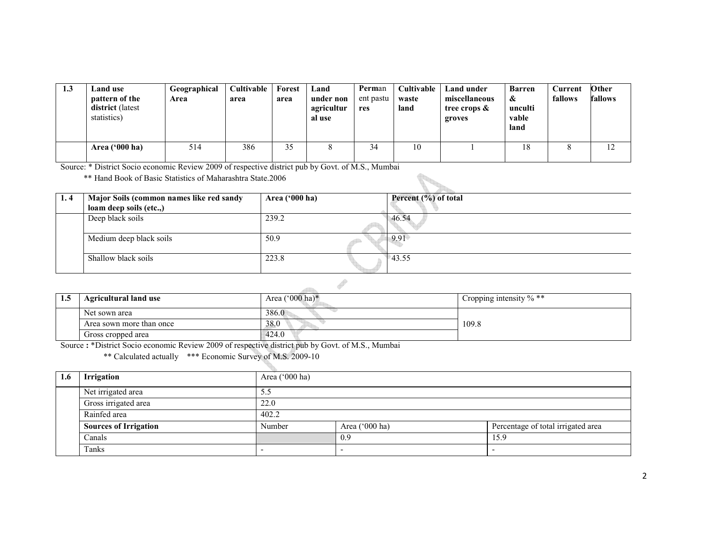| 1.3 | Land use<br>pattern of the<br>district (latest<br>statistics) | Geographical<br>Area | Cultivable<br>area | Forest<br>area | Land<br>under non<br>agricultur<br>al use | Perman<br>ent pastu<br>res | Cultivable<br>waste<br>land | <b>Land under</b><br>miscellaneous<br>tree crops &<br>groves | <b>Barren</b><br>&<br>unculti<br>vable<br>land | Current<br>fallows | Other<br>fallows |
|-----|---------------------------------------------------------------|----------------------|--------------------|----------------|-------------------------------------------|----------------------------|-----------------------------|--------------------------------------------------------------|------------------------------------------------|--------------------|------------------|
|     | Area $(900)$ ha)                                              | 514                  | 386                | 35             |                                           | 34                         | 10                          |                                                              | 18                                             |                    |                  |

Source: \* District Socio economic Review 2009 of respective district pub by Govt. of M.S., Mumbai

\*\* Hand Book of Basic Statistics of Maharashtra State.2006

| 1.4 | Major Soils (common names like red sandy<br>loam deep soils (etc.,) | Area ('000 ha) | Percent (%) of total |
|-----|---------------------------------------------------------------------|----------------|----------------------|
|     | Deep black soils                                                    | 239.2          | 46.54                |
|     | Medium deep black soils                                             | 50.9           | 9.91                 |
|     | Shallow black soils                                                 | 223.8          | 43.55                |

| 1.5 | <b>Agricultural land use</b> | Area $(^{\circ}000$ ha)* | Cropping intensity $\%$ ** |
|-----|------------------------------|--------------------------|----------------------------|
|     | Net sown area                | 386.0                    |                            |
|     | Area sown more than once     | 38.0                     | 109.8                      |
|     | Gross cropped area           | 424.0                    |                            |

 $\frac{1}{\sqrt{2}}$ 

Gross cropped area 424.0 Source : \*District Socio economic Review 2009 of respective district pub by Govt. of M.S., Mumbai \*\* Calculated actually \*\*\* Economic Survey of M.S. 2009-10

| 1.6 | <b>Irrigation</b>            | Area ('000 ha) |                          |                                    |  |  |  |
|-----|------------------------------|----------------|--------------------------|------------------------------------|--|--|--|
|     | Net irrigated area           | 5.5            |                          |                                    |  |  |  |
|     | Gross irrigated area         | 22.0           |                          |                                    |  |  |  |
|     | Rainfed area                 | 402.2          |                          |                                    |  |  |  |
|     | <b>Sources of Irrigation</b> | Number         | Area ('000 ha)           | Percentage of total irrigated area |  |  |  |
|     | Canals                       |                | 0.9                      | 15.9                               |  |  |  |
|     | Tanks                        |                | $\overline{\phantom{0}}$ |                                    |  |  |  |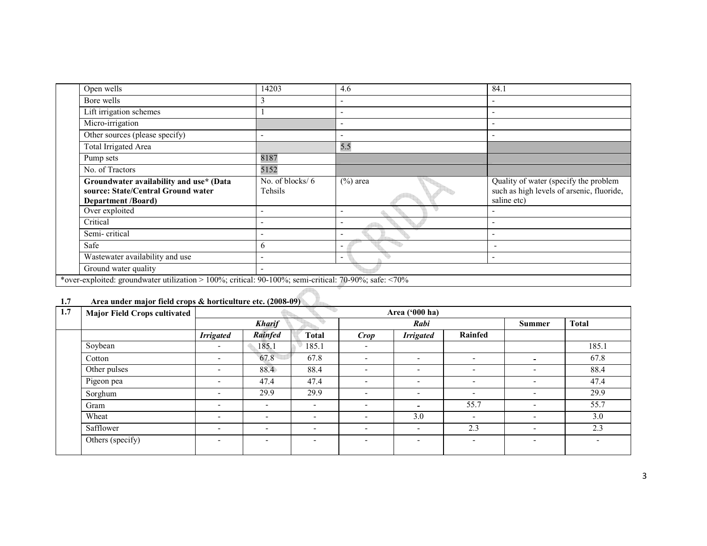| Open wells                                                                                                 | 14203                         | 4.6                      | 84.1                                                                                              |  |  |  |  |
|------------------------------------------------------------------------------------------------------------|-------------------------------|--------------------------|---------------------------------------------------------------------------------------------------|--|--|--|--|
| Bore wells                                                                                                 | 3                             |                          |                                                                                                   |  |  |  |  |
| Lift irrigation schemes                                                                                    |                               |                          |                                                                                                   |  |  |  |  |
| Micro-irrigation                                                                                           |                               |                          |                                                                                                   |  |  |  |  |
| Other sources (please specify)                                                                             | $\overline{\phantom{a}}$      |                          |                                                                                                   |  |  |  |  |
| Total Irrigated Area                                                                                       |                               | 5.5                      |                                                                                                   |  |  |  |  |
| Pump sets                                                                                                  | 8187                          |                          |                                                                                                   |  |  |  |  |
| No. of Tractors                                                                                            | 5152                          |                          |                                                                                                   |  |  |  |  |
| Groundwater availability and use* (Data<br>source: State/Central Ground water<br><b>Department</b> /Board) | No. of blocks/ $6$<br>Tehsils | $(\%)$ area              | Quality of water (specify the problem<br>such as high levels of arsenic, fluoride,<br>saline etc) |  |  |  |  |
| Over exploited                                                                                             | $\overline{\phantom{0}}$      |                          |                                                                                                   |  |  |  |  |
| Critical                                                                                                   | $\overline{\phantom{0}}$      |                          |                                                                                                   |  |  |  |  |
| Semi-critical                                                                                              | $\overline{\phantom{0}}$      |                          |                                                                                                   |  |  |  |  |
| Safe                                                                                                       | 6                             |                          |                                                                                                   |  |  |  |  |
| Wastewater availability and use                                                                            | $\overline{\phantom{a}}$      | $\overline{\phantom{0}}$ |                                                                                                   |  |  |  |  |
| Ground water quality                                                                                       | $\overline{\phantom{0}}$      |                          |                                                                                                   |  |  |  |  |
| *over-exploited: groundwater utilization > 100%; critical: 90-100%; semi-critical: 70-90%; safe: <70%      |                               |                          |                                                                                                   |  |  |  |  |

# 1.7 Area under major field crops & horticulture etc. (2008-09)

| 1.7 | <b>Major Field Crops cultivated</b> | Area ('000 ha)           |                          |                          |                          |                          |                          |                          |                          |
|-----|-------------------------------------|--------------------------|--------------------------|--------------------------|--------------------------|--------------------------|--------------------------|--------------------------|--------------------------|
|     |                                     |                          | <b>Kharif</b>            |                          |                          | Rabi                     |                          |                          | <b>Total</b>             |
|     |                                     | <b>Irrigated</b>         | Rainfed                  | <b>Total</b>             | <b>Crop</b>              | <b>Irrigated</b>         | Rainfed                  |                          |                          |
|     | Soybean                             | $\overline{\phantom{0}}$ | 185.1                    | 185.1                    | $\overline{\phantom{a}}$ |                          |                          |                          | 185.1                    |
|     | Cotton                              | $\overline{\phantom{0}}$ | 67.8                     | 67.8                     | $\overline{\phantom{0}}$ | $\overline{\phantom{0}}$ | $\overline{\phantom{0}}$ | $\overline{\phantom{0}}$ | 67.8                     |
|     | Other pulses                        | $\overline{\phantom{0}}$ | 88.4                     | 88.4                     | $\overline{\phantom{a}}$ | $\overline{\phantom{0}}$ | $\overline{\phantom{0}}$ | $\overline{\phantom{a}}$ | 88.4                     |
|     | Pigeon pea                          | $\overline{\phantom{a}}$ | 47.4                     | 47.4                     | $\overline{\phantom{a}}$ | $\overline{\phantom{a}}$ | $\overline{\phantom{a}}$ | $\overline{\phantom{a}}$ | 47.4                     |
|     | Sorghum                             | $\overline{\phantom{0}}$ | 29.9                     | 29.9                     | $\overline{\phantom{a}}$ | $\overline{\phantom{0}}$ | $\overline{\phantom{a}}$ | $\overline{\phantom{a}}$ | 29.9                     |
|     | Gram                                | $\overline{\phantom{0}}$ | $\overline{\phantom{a}}$ | $\overline{\phantom{a}}$ | $\overline{\phantom{a}}$ | $\overline{\phantom{0}}$ | 55.7                     | $\overline{\phantom{a}}$ | 55.7                     |
|     | Wheat                               | $\overline{\phantom{0}}$ | $\overline{\phantom{a}}$ | $\overline{\phantom{0}}$ | $\overline{\phantom{a}}$ | 3.0                      | ٠                        | $\overline{\phantom{0}}$ | 3.0                      |
|     | Safflower                           | $\overline{\phantom{0}}$ | $\overline{\phantom{0}}$ | $\overline{\phantom{0}}$ | $\overline{a}$           | $\overline{\phantom{0}}$ | 2.3                      | $\overline{\phantom{0}}$ | 2.3                      |
|     | Others (specify)                    | $\overline{\phantom{0}}$ | $\overline{\phantom{a}}$ | $\overline{\phantom{a}}$ | $\overline{\phantom{a}}$ | $\overline{\phantom{0}}$ | $\overline{\phantom{a}}$ | $\overline{\phantom{0}}$ | $\overline{\phantom{a}}$ |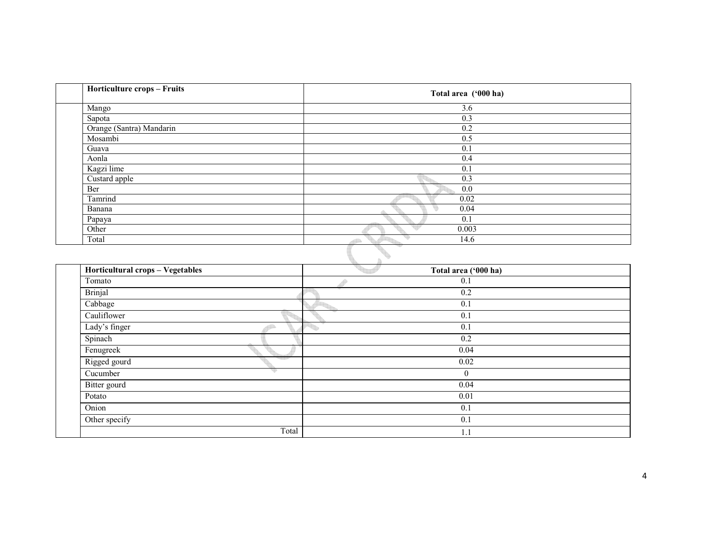| Horticulture crops - Fruits      | Total area ('000 ha)   |
|----------------------------------|------------------------|
| Mango                            | 3.6                    |
| Sapota                           | 0.3                    |
| Orange (Santra) Mandarin         | 0.2                    |
| Mosambi                          | 0.5                    |
| Guava                            | 0.1                    |
| Aonla                            | 0.4                    |
| Kagzi lime                       | 0.1                    |
| Custard apple                    | 0.3                    |
| Ber                              | 0.0                    |
| Tamrind                          | $\overline{0.02}$      |
| Banana                           | 0.04<br>g              |
| Papaya                           | $\overline{0.1}$       |
| Other<br>Total                   | 0.003<br>14.6          |
| Horticultural crops - Vegetables | B)                     |
|                                  | Total area ('000 ha)   |
| Tomato                           | $\overline{0.1}$<br>ð  |
| <b>Brinjal</b>                   | $\overline{0.2}$       |
| Cabbage                          | $\overline{0.1}$       |
| Cauliflower                      | $\overline{0.1}$       |
| Lady's finger                    | $\overline{0.1}$<br>÷, |
| Spinach                          | 0.2                    |
| Fenugreek                        | 0.04                   |
| Rigged gourd                     | $\overline{0.02}$      |
| Cucumber                         | $\boldsymbol{0}$       |
| Bitter gourd                     | 0.04                   |
| Potato                           | $\overline{0.01}$      |
| Onion                            | $\overline{0.1}$       |
| Other specify                    | 0.1                    |
|                                  | Total<br>1.1           |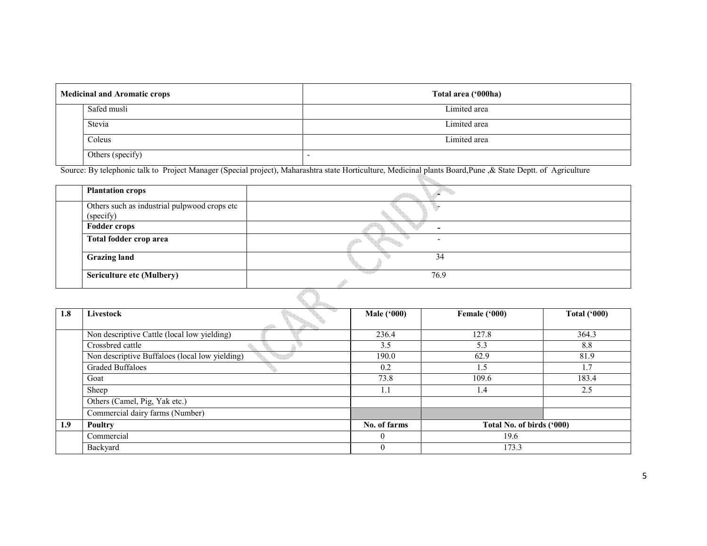| <b>Medicinal and Aromatic crops</b> |                  | Total area ('000ha) |
|-------------------------------------|------------------|---------------------|
|                                     | Safed musli      | Limited area        |
|                                     | Stevia           | Limited area        |
|                                     | Coleus           | Limited area        |
|                                     | Others (specify) |                     |

Source: By telephonic talk to Project Manager (Special project), Maharashtra state Horticulture, Medicinal plants Board,Pune ,& State Deptt. of Agriculture

| <b>Plantation crops</b>                                   |      |
|-----------------------------------------------------------|------|
| Others such as industrial pulpwood crops etc<br>(specify) |      |
| <b>Fodder crops</b>                                       |      |
| Total fodder crop area                                    |      |
| <b>Grazing land</b>                                       | 34   |
| <b>Sericulture etc (Mulbery)</b>                          | 76.9 |
|                                                           |      |

| 1.8 | Livestock                                      | <b>Male ('000)</b> | Female ('000)             | <b>Total ('000)</b> |  |
|-----|------------------------------------------------|--------------------|---------------------------|---------------------|--|
|     | Non descriptive Cattle (local low yielding)    | 236.4              | 127.8                     | 364.3               |  |
|     | Crossbred cattle                               | 3.5                | 5.3                       | 8.8                 |  |
|     | Non descriptive Buffaloes (local low yielding) | 190.0              | 62.9                      | 81.9                |  |
|     | <b>Graded Buffaloes</b>                        | 0.2                | 1.5                       | 1.7                 |  |
|     | Goat                                           | 73.8               | 109.6                     | 183.4               |  |
|     | Sheep                                          | 1.1                | 1.4                       | 2.5                 |  |
|     | Others (Camel, Pig, Yak etc.)                  |                    |                           |                     |  |
|     | Commercial dairy farms (Number)                |                    |                           |                     |  |
| 1.9 | Poultry                                        | No. of farms       | Total No. of birds ('000) |                     |  |
|     | Commercial                                     | $\theta$           | 19.6                      |                     |  |
|     | Backyard                                       | $\mathbf{0}$       | 173.3                     |                     |  |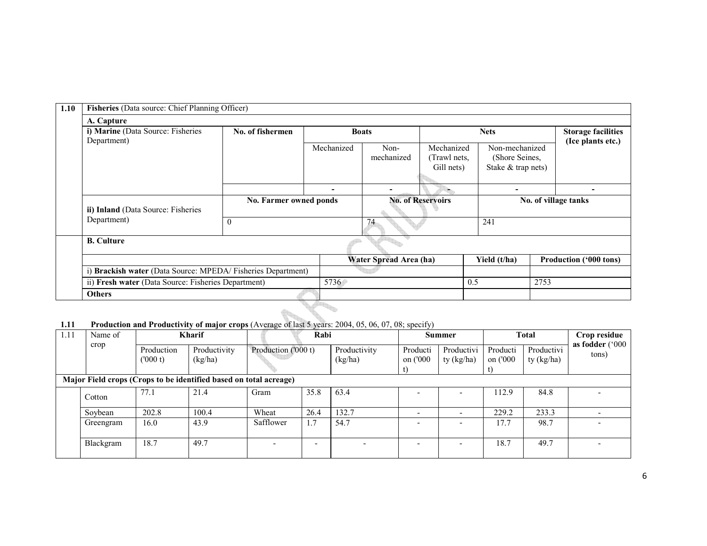| 1.10 | Fisheries (Data source: Chief Planning Officer)                  |                        |            |                          |                            |                                                        |                                                |                        |  |
|------|------------------------------------------------------------------|------------------------|------------|--------------------------|----------------------------|--------------------------------------------------------|------------------------------------------------|------------------------|--|
|      | A. Capture                                                       |                        |            |                          |                            |                                                        |                                                |                        |  |
|      | i) Marine (Data Source: Fisheries<br>Department)                 | No. of fishermen       |            | <b>Boats</b>             |                            | <b>Nets</b>                                            | <b>Storage facilities</b><br>(Ice plants etc.) |                        |  |
|      |                                                                  |                        | Mechanized | Non-<br>mechanized       | Mechanized<br>(Trawl nets, | Non-mechanized<br>(Shore Seines,<br>Stake & trap nets) |                                                |                        |  |
|      |                                                                  |                        |            |                          | Gill nets)                 |                                                        |                                                |                        |  |
|      |                                                                  |                        |            |                          |                            | -                                                      |                                                |                        |  |
|      | ii) Inland (Data Source: Fisheries<br>Department)                | No. Farmer owned ponds |            | <b>No. of Reservoirs</b> |                            | No. of village tanks                                   |                                                |                        |  |
|      |                                                                  | $\theta$               |            | 74                       |                            | 241                                                    |                                                |                        |  |
|      | <b>B.</b> Culture                                                |                        |            |                          |                            |                                                        |                                                |                        |  |
|      |                                                                  |                        |            | Water Spread Area (ha)   |                            | Yield (t/ha)                                           |                                                | Production ('000 tons) |  |
|      | <b>Brackish water</b> (Data Source: MPEDA/ Fisheries Department) |                        |            |                          |                            |                                                        |                                                |                        |  |
|      | ii) Fresh water (Data Source: Fisheries Department)              |                        | 5736       |                          |                            | 2753<br>0.5                                            |                                                |                        |  |
|      | <b>Others</b>                                                    |                        |            |                          |                            |                                                        |                                                |                        |  |
|      |                                                                  | <u>Ab. </u>            |            |                          |                            |                                                        |                                                |                        |  |

1.11 Production and Productivity of major crops (Average of last 5 years: 2004, 05, 06, 07, 08; specify)

| 1.11 | Name of                                                           | Kharif                |                         |                          | Rabi |                         | <b>Summer</b>        |                          | <b>Total</b>         |                          | Crop residue             |
|------|-------------------------------------------------------------------|-----------------------|-------------------------|--------------------------|------|-------------------------|----------------------|--------------------------|----------------------|--------------------------|--------------------------|
|      | crop                                                              | Production<br>(000 t) | Productivity<br>(kg/ha) | Production ('000 t)      |      | Productivity<br>(kg/ha) | Producti<br>on ('000 | Productivi<br>ty (kg/ha) | Producti<br>on ('000 | Productivi<br>ty (kg/ha) | as fodder ('000<br>tons) |
|      | Major Field crops (Crops to be identified based on total acreage) |                       |                         |                          |      |                         |                      |                          |                      |                          |                          |
|      | Cotton                                                            | 77.1                  | 21.4                    | Gram                     | 35.8 | 63.4                    |                      |                          | 112.9                | 84.8                     |                          |
|      | Sovbean                                                           | 202.8                 | 100.4                   | Wheat                    | 26.4 | 132.7                   |                      |                          | 229.2                | 233.3                    |                          |
|      | Greengram                                                         | 16.0                  | 43.9                    | Safflower                | 1.7  | 54.7                    |                      |                          | 17.7                 | 98.7                     |                          |
|      | Blackgram                                                         | 18.7                  | 49.7                    | $\overline{\phantom{a}}$ | -    | -                       |                      |                          | 18.7                 | 49.7                     |                          |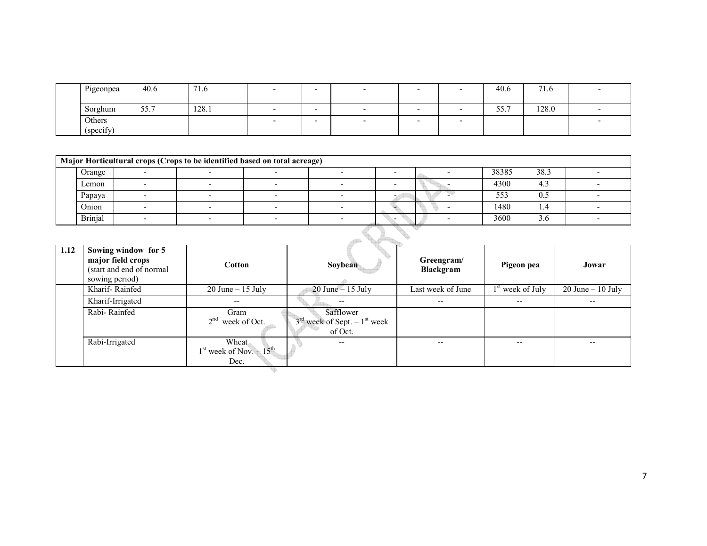| Pigeonpea                   | 40.6                         | $-1$<br>$^{\prime}$ 1.0 |  |  | 40.6         | $\overline{\phantom{a}}$<br>7. U |  |
|-----------------------------|------------------------------|-------------------------|--|--|--------------|----------------------------------|--|
|                             |                              |                         |  |  |              |                                  |  |
| Sorghum                     | $\sim$ $\sim$ $\sim$<br>JJ.I | 128.1                   |  |  | $ -$<br>JJ.1 | 128.0                            |  |
| Others                      |                              |                         |  |  |              |                                  |  |
| $\cdot$ $\sim$<br>(specity) |                              |                         |  |  |              |                                  |  |

| Major Horticultural crops (Crops to be identified based on total acreage) |  |  |  |  |  |       |      |  |  |
|---------------------------------------------------------------------------|--|--|--|--|--|-------|------|--|--|
| Orange                                                                    |  |  |  |  |  | 38385 | 38.3 |  |  |
| Lemon                                                                     |  |  |  |  |  | 4300  | 4.5  |  |  |
| Papaya                                                                    |  |  |  |  |  | 553   | U.C  |  |  |
| Onion                                                                     |  |  |  |  |  | 1480  | 1.4  |  |  |
| <b>Brinjal</b>                                                            |  |  |  |  |  | 3600  | 3.0  |  |  |

| 1.12 | Sowing window for 5<br>major field crops<br>(start and end of normal)<br>sowing period) | Cotton                                      | Soybean                                                 | Greengram/<br>Blackgram | Pigeon pea                   | Jowar                |
|------|-----------------------------------------------------------------------------------------|---------------------------------------------|---------------------------------------------------------|-------------------------|------------------------------|----------------------|
|      | Kharif-Rainfed                                                                          | $20$ June $-15$ July                        | $20$ June $-15$ July                                    | Last week of June       | 1 <sup>st</sup> week of July | $20$ June $-10$ July |
|      | Kharif-Irrigated                                                                        | --                                          | $\overline{\phantom{m}}$                                | $\qquad \qquad -$       | $- -$                        | $- -$                |
|      | Rabi-Rainfed                                                                            | Gram<br>$2nd$ week of Oct.                  | Safflower<br>$3rd$ week of Sept. $-1st$ week<br>of Oct. |                         |                              |                      |
|      | Rabi-Irrigated                                                                          | Wheat<br>$1st$ week of Nov. $-15th$<br>Dec. | $\overline{\phantom{m}}$                                | --                      | --                           | --                   |
|      |                                                                                         |                                             |                                                         |                         |                              |                      |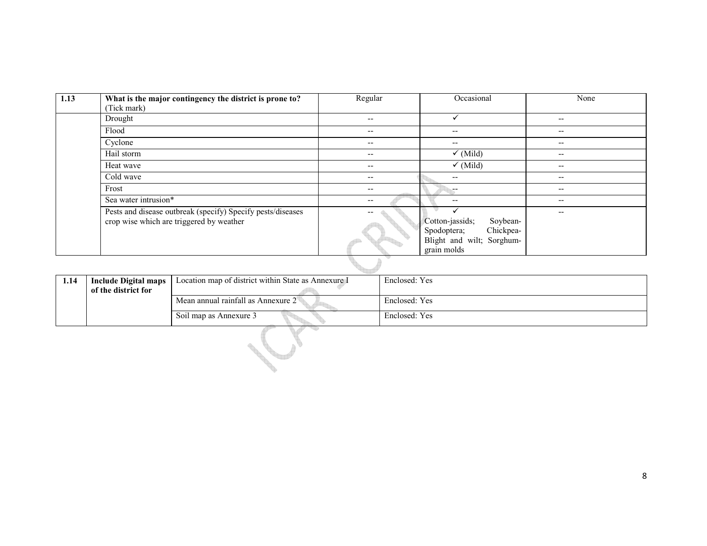| 1.13 | What is the major contingency the district is prone to?<br>(Tick mark)                                  | Regular                  | Occasional                                                                                          | None                     |
|------|---------------------------------------------------------------------------------------------------------|--------------------------|-----------------------------------------------------------------------------------------------------|--------------------------|
|      | Drought                                                                                                 | $\overline{\phantom{m}}$ | $\checkmark$                                                                                        | $\overline{\phantom{m}}$ |
|      | Flood                                                                                                   | $\overline{\phantom{m}}$ | $\overline{\phantom{m}}$                                                                            | $\overline{\phantom{m}}$ |
|      | Cyclone                                                                                                 | $\overline{\phantom{m}}$ | $\overline{\phantom{m}}$                                                                            | $\overline{\phantom{m}}$ |
|      | Hail storm                                                                                              | $\overline{\phantom{m}}$ | $\checkmark$ (Mild)                                                                                 | $\overline{\phantom{m}}$ |
|      | Heat wave                                                                                               | $- -$                    | $\checkmark$ (Mild)                                                                                 | --                       |
|      | Cold wave                                                                                               | $- -$                    | $\overline{\phantom{m}}$                                                                            | --                       |
|      | Frost                                                                                                   | $- -$                    | <b></b>                                                                                             | $\overline{\phantom{m}}$ |
|      | Sea water intrusion*                                                                                    | $- -$                    | $\overline{\phantom{m}}$                                                                            | $\overline{\phantom{m}}$ |
|      | Pests and disease outbreak (specify) Specify pests/diseases<br>crop wise which are triggered by weather |                          | Cotton-jassids;<br>Soybean-<br>Chickpea-<br>Spodoptera;<br>Blight and wilt; Sorghum-<br>grain molds | --                       |

| 1.14 | Include Digital maps | Location map of district within State as Annexure I | Enclosed: Yes |
|------|----------------------|-----------------------------------------------------|---------------|
|      | of the district for  |                                                     |               |
|      |                      | Mean annual rainfall as Annexure 2                  | Enclosed: Yes |
|      |                      | Soil map as Annexure 3                              | Enclosed: Yes |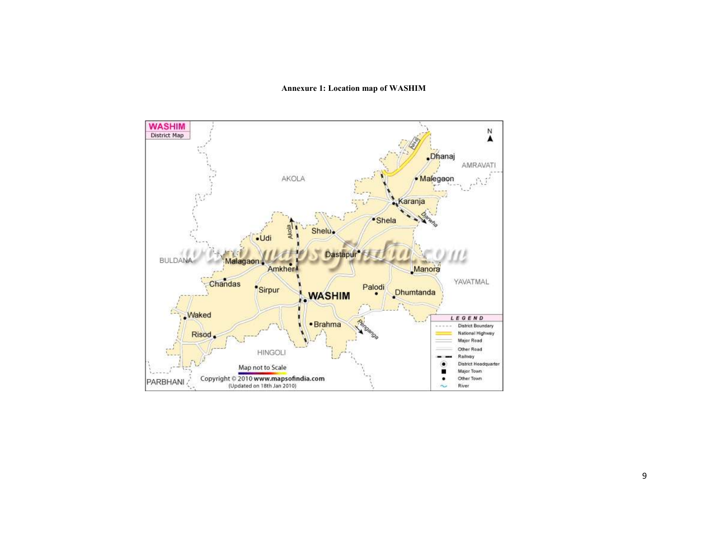## Annexure 1: Location map of WASHIM

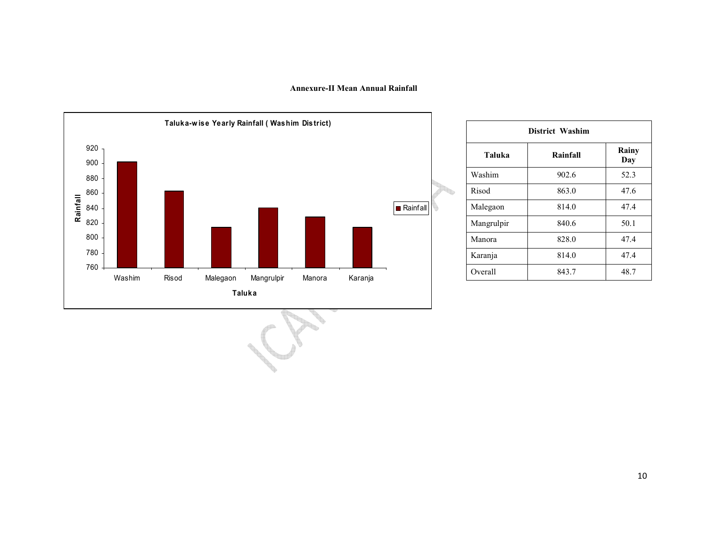### Annexure-II Mean Annual Rainfall



| <b>District Washim</b> |          |              |  |  |  |  |  |
|------------------------|----------|--------------|--|--|--|--|--|
| Taluka                 | Rainfall | Rainy<br>Day |  |  |  |  |  |
| Washim                 | 902.6    | 52.3         |  |  |  |  |  |
| Risod                  | 863.0    | 47.6         |  |  |  |  |  |
| Malegaon               | 814.0    | 47.4         |  |  |  |  |  |
| Mangrulpir             | 840.6    | 50.1         |  |  |  |  |  |
| Manora                 | 828.0    | 47.4         |  |  |  |  |  |
| Karanja                | 814.0    | 47.4         |  |  |  |  |  |
| Overall                | 843.7    | 48.7         |  |  |  |  |  |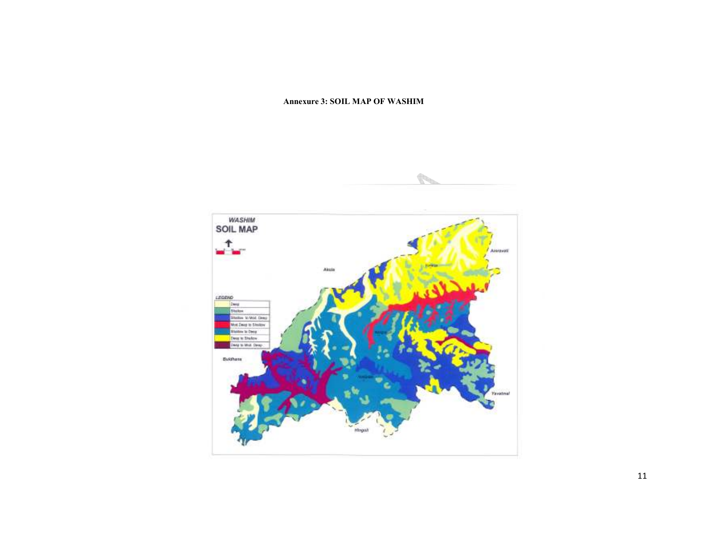### Annexure 3: SOIL MAP OF WASHIM

¢.

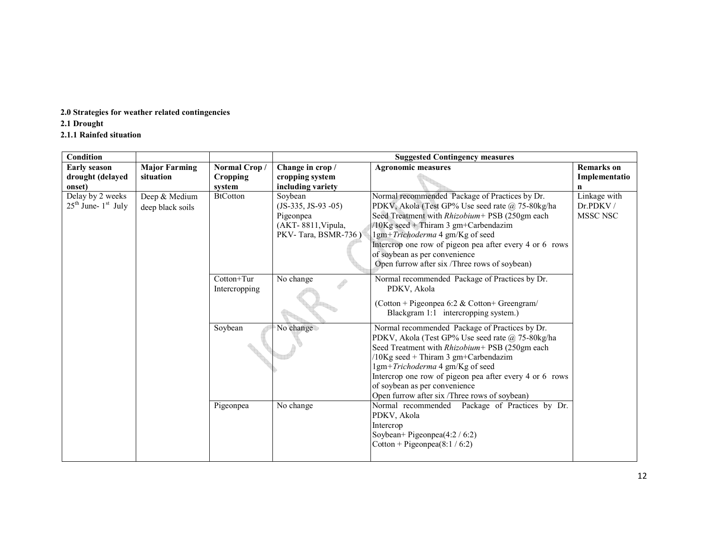# 2.0 Strategies for weather related contingencies

# 2.1 Drought

# 2.1.1 Rainfed situation

| Condition               |                      |                 |                      | <b>Suggested Contingency measures</b>                                                              |                   |
|-------------------------|----------------------|-----------------|----------------------|----------------------------------------------------------------------------------------------------|-------------------|
| <b>Early season</b>     | <b>Major Farming</b> | Normal Crop/    | Change in crop /     | <b>Agronomic measures</b>                                                                          | <b>Remarks</b> on |
| drought (delayed        | situation            | Cropping        | cropping system      |                                                                                                    | Implementatio     |
| onset)                  |                      | system          | including variety    |                                                                                                    | n                 |
| Delay by 2 weeks        | Deep & Medium        | <b>BtCotton</b> | Soybean              | Normal recommended Package of Practices by Dr.                                                     | Linkage with      |
| $25th$ June- $1st$ July | deep black soils     |                 | $(JS-335, JS-93-05)$ | PDKV, Akola (Test GP% Use seed rate @ 75-80kg/ha                                                   | Dr.PDKV/          |
|                         |                      |                 | Pigeonpea            | Seed Treatment with Rhizobium+ PSB (250gm each                                                     | MSSC NSC          |
|                         |                      |                 | (AKT-8811, Vipula,   | $/10$ Kg seed + Thiram 3 gm+Carbendazim                                                            |                   |
|                         |                      |                 | PKV-Tara, BSMR-736)  | 1gm+Trichoderma 4 gm/Kg of seed                                                                    |                   |
|                         |                      |                 |                      | Intercrop one row of pigeon pea after every 4 or 6 rows                                            |                   |
|                         |                      |                 |                      | of soybean as per convenience<br>Open furrow after six /Three rows of soybean)                     |                   |
|                         |                      |                 |                      |                                                                                                    |                   |
|                         |                      | Cotton+Tur      | No change            | Normal recommended Package of Practices by Dr.                                                     |                   |
|                         |                      | Intercropping   |                      | PDKV, Akola                                                                                        |                   |
|                         |                      |                 |                      | (Cotton + Pigeonpea 6:2 & Cotton + Greengram/                                                      |                   |
|                         |                      |                 |                      | Blackgram 1:1 intercropping system.)                                                               |                   |
|                         |                      |                 |                      |                                                                                                    |                   |
|                         |                      | Soybean         | No change            | Normal recommended Package of Practices by Dr.<br>PDKV, Akola (Test GP% Use seed rate @ 75-80kg/ha |                   |
|                         |                      |                 |                      | Seed Treatment with Rhizobium+ PSB (250gm each                                                     |                   |
|                         |                      |                 |                      | /10Kg seed + Thiram 3 gm+Carbendazim                                                               |                   |
|                         |                      |                 |                      | 1gm+Trichoderma 4 gm/Kg of seed                                                                    |                   |
|                         |                      |                 |                      | Intercrop one row of pigeon pea after every 4 or 6 rows                                            |                   |
|                         |                      |                 |                      | of soybean as per convenience                                                                      |                   |
|                         |                      |                 |                      | Open furrow after six /Three rows of soybean)                                                      |                   |
|                         |                      | Pigeonpea       | No change            | Package of Practices by Dr.<br>Normal recommended                                                  |                   |
|                         |                      |                 |                      | PDKV, Akola                                                                                        |                   |
|                         |                      |                 |                      | Intercrop                                                                                          |                   |
|                         |                      |                 |                      | Soybean+ Pigeonpea(4:2 / 6:2)                                                                      |                   |
|                         |                      |                 |                      | Cotton + Pigeonpea(8:1/6:2)                                                                        |                   |
|                         |                      |                 |                      |                                                                                                    |                   |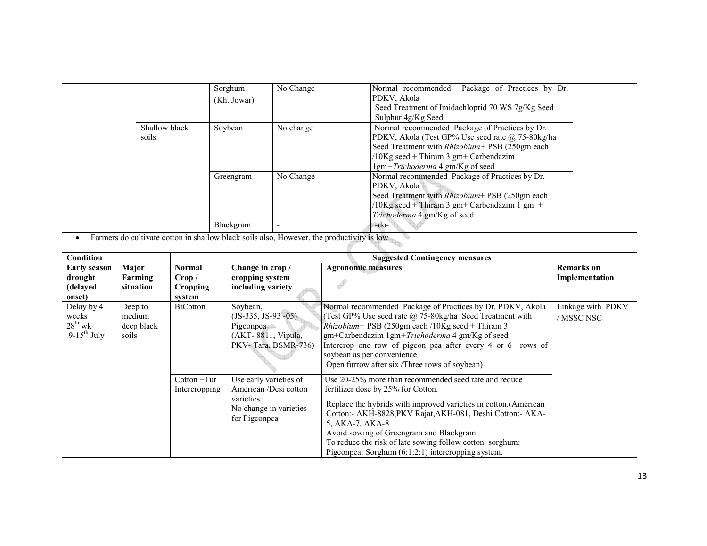|                        | Sorghum<br>(Kh. Jowar) | No Change | Normal recommended<br>Package of Practices by Dr.<br>PDKV, Akola<br>Seed Treatment of Imidachloprid 70 WS 7g/Kg Seed<br>Sulphur 4g/Kg Seed                                                                                                                              |  |
|------------------------|------------------------|-----------|-------------------------------------------------------------------------------------------------------------------------------------------------------------------------------------------------------------------------------------------------------------------------|--|
| Shallow black<br>soils | Soybean                | No change | Normal recommended Package of Practices by Dr.<br>PDKV, Akola (Test GP% Use seed rate @ 75-80kg/ha<br>Seed Treatment with Rhizobium+ PSB (250gm each<br>$/10$ Kg seed + Thiram 3 gm+ Carbendazim<br>$\frac{1}{\text{gm}} + \frac{Trichoderna}{4 \text{ gm/Kg}}$ of seed |  |
|                        | Greengram              | No Change | Normal recommended Package of Practices by Dr.<br>PDKV, Akola<br>Seed Treatment with Rhizobium+ PSB (250gm each<br>/10Kg seed + Thiram 3 gm+ Carbendazim 1 gm +<br>Trichoderma 4 gm/Kg of seed                                                                          |  |
|                        | Blackgram              |           | $-do-$                                                                                                                                                                                                                                                                  |  |

• Farmers do cultivate cotton in shallow black soils also, However, the productivity is low

| <b>Condition</b>                                        |                                          |                                        |                                                                                                         | <b>Suggested Contingency measures</b>                                                                                                                                                                                                                                                                                                                                                                             |                                     |
|---------------------------------------------------------|------------------------------------------|----------------------------------------|---------------------------------------------------------------------------------------------------------|-------------------------------------------------------------------------------------------------------------------------------------------------------------------------------------------------------------------------------------------------------------------------------------------------------------------------------------------------------------------------------------------------------------------|-------------------------------------|
| <b>Early season</b><br>drought<br>(delayed<br>onset)    | Major<br>Farming<br>situation            | Normal<br>Crop /<br>Cropping<br>system | Change in crop /<br>cropping system<br>including variety                                                | <b>Agronomic measures</b>                                                                                                                                                                                                                                                                                                                                                                                         | <b>Remarks</b> on<br>Implementation |
| Delay by 4<br>weeks<br>$28^{th}$ wk<br>$9-15^{th}$ July | Deep to<br>medium<br>deep black<br>soils | <b>BtCotton</b>                        | Soybean,<br>$(JS-335, JS-93-05)$<br>Pigeonpea<br>(AKT-8811, Vipula,<br>PKV-Tara, BSMR-736)              | Normal recommended Package of Practices by Dr. PDKV, Akola<br>(Test GP% Use seed rate $\omega$ 75-80kg/ha Seed Treatment with<br><i>Rhizobium</i> + PSB (250gm each /10Kg seed + Thiram 3<br>gm+Carbendazim 1gm+Trichoderma 4 gm/Kg of seed<br>Intercrop one row of pigeon pea after every 4 or 6 rows of<br>soybean as per convenience<br>Open furrow after six /Three rows of soybean)                          | Linkage with PDKV<br>/ MSSC NSC     |
|                                                         |                                          | $Cottom + Tur$<br>Intercropping        | Use early varieties of<br>American /Desi cotton<br>varieties<br>No change in varieties<br>for Pigeonpea | Use 20-25% more than recommended seed rate and reduce<br>fertilizer dose by 25% for Cotton.<br>Replace the hybrids with improved varieties in cotton. (American<br>Cotton:- AKH-8828, PKV Rajat, AKH-081, Deshi Cotton:- AKA-<br>5, AKA-7, AKA-8<br>Avoid sowing of Greengram and Blackgram.<br>To reduce the risk of late sowing follow cotton: sorghum:<br>Pigeonpea: Sorghum $(6:1:2:1)$ intercropping system. |                                     |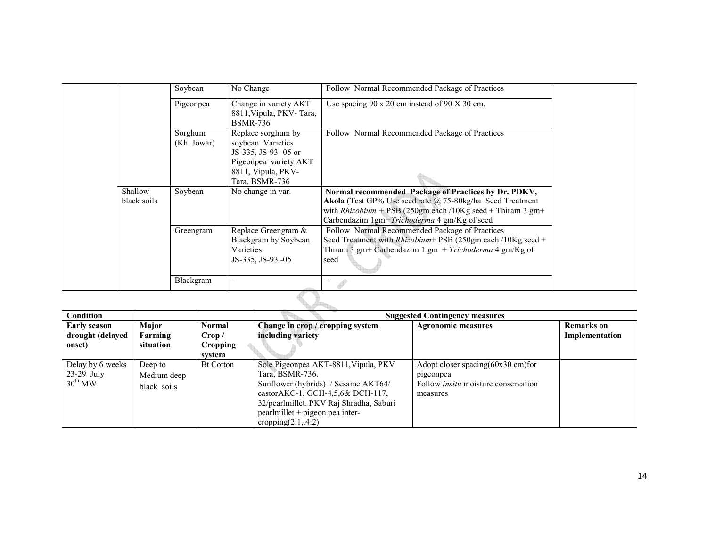|                        | Soybean                | No Change                                                                                                                        | Follow Normal Recommended Package of Practices                                                                                                                                                                                        |  |  |  |
|------------------------|------------------------|----------------------------------------------------------------------------------------------------------------------------------|---------------------------------------------------------------------------------------------------------------------------------------------------------------------------------------------------------------------------------------|--|--|--|
|                        | Pigeonpea              | Change in variety AKT<br>8811, Vipula, PKV-Tara,<br><b>BSMR-736</b>                                                              | Use spacing $90 \times 20$ cm instead of $90 \times 30$ cm.                                                                                                                                                                           |  |  |  |
|                        | Sorghum<br>(Kh. Jowar) | Replace sorghum by<br>soybean Varieties<br>JS-335, JS-93 -05 or<br>Pigeonpea variety AKT<br>8811, Vipula, PKV-<br>Tara, BSMR-736 | Follow Normal Recommended Package of Practices                                                                                                                                                                                        |  |  |  |
| Shallow<br>black soils | Soybean                | No change in var.                                                                                                                | Normal recommended Package of Practices by Dr. PDKV,<br>Akola (Test GP% Use seed rate @ 75-80kg/ha Seed Treatment<br>with <i>Rhizobium</i> + PSB (250gm each /10Kg seed + Thiram 3 gm+<br>Carbendazim 1gm+Trichoderma 4 gm/Kg of seed |  |  |  |
|                        | Greengram              | Replace Greengram &<br>Blackgram by Soybean<br>Varieties<br>JS-335, JS-93 -05                                                    | Follow Normal Recommended Package of Practices<br>Seed Treatment with <i>Rhizobium</i> + PSB (250gm each /10Kg seed +<br>Thiram 3 gm+ Carbendazim 1 gm + Trichoderma 4 gm/Kg of<br>seed                                               |  |  |  |
|                        | Blackgram              |                                                                                                                                  |                                                                                                                                                                                                                                       |  |  |  |
|                        |                        |                                                                                                                                  |                                                                                                                                                                                                                                       |  |  |  |

| <b>Condition</b>                                        |                                       |                  |                                                                                                                                                                                                                                                | <b>Suggested Contingency measures</b>                                                                    |                   |
|---------------------------------------------------------|---------------------------------------|------------------|------------------------------------------------------------------------------------------------------------------------------------------------------------------------------------------------------------------------------------------------|----------------------------------------------------------------------------------------------------------|-------------------|
| <b>Early season</b>                                     | Major                                 | Normal           | Change in crop / cropping system                                                                                                                                                                                                               | <b>Agronomic measures</b>                                                                                | <b>Remarks</b> on |
| drought (delayed                                        | Farming                               | Crop /           | including variety                                                                                                                                                                                                                              |                                                                                                          | Implementation    |
| onset)                                                  | situation                             | <b>Cropping</b>  |                                                                                                                                                                                                                                                |                                                                                                          |                   |
|                                                         |                                       | svstem           |                                                                                                                                                                                                                                                |                                                                                                          |                   |
| Delay by 6 weeks<br>$23-29$ July<br>$30^{\text{th}}$ MW | Deep to<br>Medium deep<br>black soils | <b>Bt Cotton</b> | Sole Pigeonpea AKT-8811, Vipula, PKV<br>Tara, BSMR-736.<br>Sunflower (hybrids) / Sesame AKT64/<br>castor AKC-1, GCH-4,5,6 $\&$ DCH-117,<br>32/pearlmillet. PKV Raj Shradha, Saburi<br>pearlmillet + pigeon pea inter-<br>cropping $(2:1, 4:2)$ | Adopt closer spacing(60x30 cm)for<br>pigeonpea<br>Follow <i>insitu</i> moisture conservation<br>measures |                   |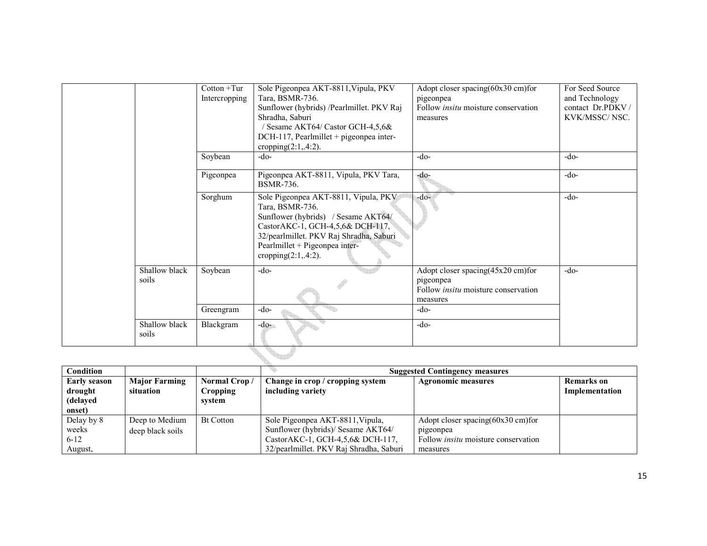|                        | $Cottom + Tur$<br>Intercropping | Sole Pigeonpea AKT-8811, Vipula, PKV<br>Tara, BSMR-736.<br>Sunflower (hybrids) /Pearlmillet. PKV Raj<br>Shradha, Saburi<br>/ Sesame AKT64/ Castor GCH-4,5,6&<br>DCH-117, Pearlmillet + pigeonpea inter-<br>cropping $(2:1, 4:2)$ .         | Adopt closer spacing(60x30 cm)for<br>pigeonpea<br>Follow <i>insitu</i> moisture conservation<br>measures | For Seed Source<br>and Technology<br>contact Dr.PDKV/<br>KVK/MSSC/NSC. |
|------------------------|---------------------------------|--------------------------------------------------------------------------------------------------------------------------------------------------------------------------------------------------------------------------------------------|----------------------------------------------------------------------------------------------------------|------------------------------------------------------------------------|
|                        | Soybean                         | $-do-$                                                                                                                                                                                                                                     | $-do-$                                                                                                   | $-do-$                                                                 |
|                        | Pigeonpea                       | Pigeonpea AKT-8811, Vipula, PKV Tara,<br>BSMR-736.                                                                                                                                                                                         | -do-                                                                                                     | $-do-$                                                                 |
|                        | Sorghum                         | Sole Pigeonpea AKT-8811, Vipula, PKV<br>Tara, BSMR-736.<br>Sunflower (hybrids) / Sesame AKT64/<br>CastorAKC-1, GCH-4,5,6& DCH-117,<br>32/pearlmillet. PKV Raj Shradha, Saburi<br>Pearlmillet + Pigeonpea inter-<br>cropping $(2:1, 4:2)$ . | $-do-$                                                                                                   | $-do-$                                                                 |
| Shallow black<br>soils | Soybean                         | $-do-$                                                                                                                                                                                                                                     | Adopt closer spacing(45x20 cm)for<br>pigeonpea<br>Follow <i>insitu</i> moisture conservation<br>measures | $-do-$                                                                 |
|                        | Greengram                       | $-do-$                                                                                                                                                                                                                                     | $-do-$                                                                                                   |                                                                        |
| Shallow black<br>soils | Blackgram                       | $-do-$                                                                                                                                                                                                                                     | $-do-$                                                                                                   |                                                                        |
|                        |                                 |                                                                                                                                                                                                                                            |                                                                                                          |                                                                        |

| Condition    |                      |                  | <b>Suggested Contingency measures</b>   |                                               |                   |  |  |
|--------------|----------------------|------------------|-----------------------------------------|-----------------------------------------------|-------------------|--|--|
| Early season | <b>Major Farming</b> | Normal Crop/     | Change in crop / cropping system        | <b>Agronomic measures</b>                     | <b>Remarks</b> on |  |  |
| drought      | situation            | <b>Cropping</b>  | including variety                       |                                               | Implementation    |  |  |
| (delayed)    |                      | system           |                                         |                                               |                   |  |  |
| onset)       |                      |                  |                                         |                                               |                   |  |  |
| Delay by 8   | Deep to Medium       | <b>Bt Cotton</b> | Sole Pigeonpea AKT-8811, Vipula,        | Adopt closer spacing $(60x30 \text{ cm})$ for |                   |  |  |
| weeks        | deep black soils     |                  | Sunflower (hybrids)/ Sesame AKT64/      | pigeonpea                                     |                   |  |  |
| $6 - 12$     |                      |                  | Castor AKC-1, GCH-4,5,6& DCH-117,       | Follow <i>insitu</i> moisture conservation    |                   |  |  |
| August,      |                      |                  | 32/pearlmillet. PKV Raj Shradha, Saburi | measures                                      |                   |  |  |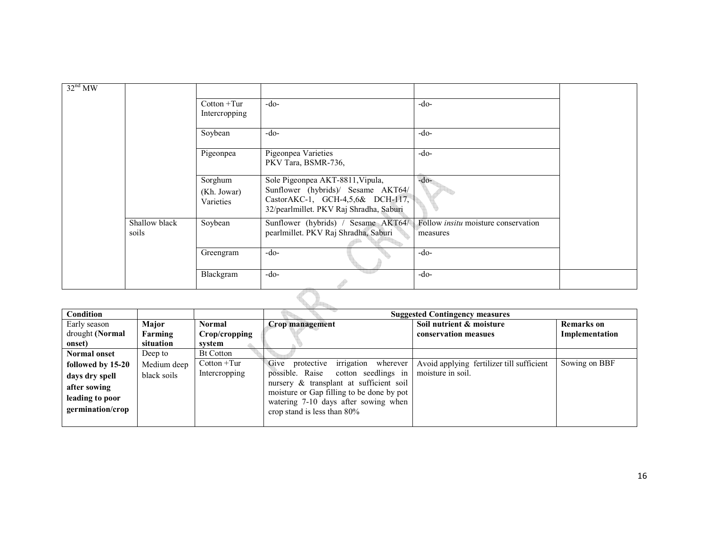| $32nd$ MW |                        |                                     |                                                                                                                                                        |                                                        |  |
|-----------|------------------------|-------------------------------------|--------------------------------------------------------------------------------------------------------------------------------------------------------|--------------------------------------------------------|--|
|           |                        | $Cottom + Tur$<br>Intercropping     | $-do-$                                                                                                                                                 | $-do-$                                                 |  |
|           |                        | Soybean                             | $-do-$                                                                                                                                                 | $-do-$                                                 |  |
|           |                        | Pigeonpea                           | Pigeonpea Varieties<br>PKV Tara, BSMR-736,                                                                                                             | $-do-$                                                 |  |
|           |                        | Sorghum<br>(Kh. Jowar)<br>Varieties | Sole Pigeonpea AKT-8811, Vipula,<br>Sunflower (hybrids)/ Sesame AKT64/<br>Castor AKC-1, GCH-4,5,6& DCH-117,<br>32/pearlmillet. PKV Raj Shradha, Saburi | $-do-$                                                 |  |
|           | Shallow black<br>soils | Soybean                             | Sunflower (hybrids) / Sesame AKT64/<br>pearlmillet. PKV Raj Shradha, Saburi                                                                            | Follow <i>insitu</i> moisture conservation<br>measures |  |
|           |                        | Greengram                           | $-do-$                                                                                                                                                 | $-do-$                                                 |  |
|           |                        | Blackgram                           | $-do-$                                                                                                                                                 | $-do-$                                                 |  |
|           |                        |                                     |                                                                                                                                                        |                                                        |  |

| Condition           |             |                  |                                           | <b>Suggested Contingency measures</b>     |                   |
|---------------------|-------------|------------------|-------------------------------------------|-------------------------------------------|-------------------|
| Early season        | Major       | <b>Normal</b>    | Crop management                           | Soil nutrient & moisture                  | <b>Remarks</b> on |
| drought (Normal     | Farming     | Crop/cropping    |                                           | conservation measues                      | Implementation    |
| onset)              | situation   | system           |                                           |                                           |                   |
| <b>Normal onset</b> | Deep to     | <b>Bt Cotton</b> |                                           |                                           |                   |
| followed by 15-20   | Medium deep | $Cottom + Tur$   | irrigation<br>Give protective<br>wherever | Avoid applying fertilizer till sufficient | Sowing on BBF     |
| days dry spell      | black soils | Intercropping    | possible. Raise cotton seedlings in       | moisture in soil.                         |                   |
| after sowing        |             |                  | nursery & transplant at sufficient soil   |                                           |                   |
| leading to poor     |             |                  | moisture or Gap filling to be done by pot |                                           |                   |
|                     |             |                  | watering 7-10 days after sowing when      |                                           |                   |
| germination/crop    |             |                  | crop stand is less than $80\%$            |                                           |                   |
|                     |             |                  |                                           |                                           |                   |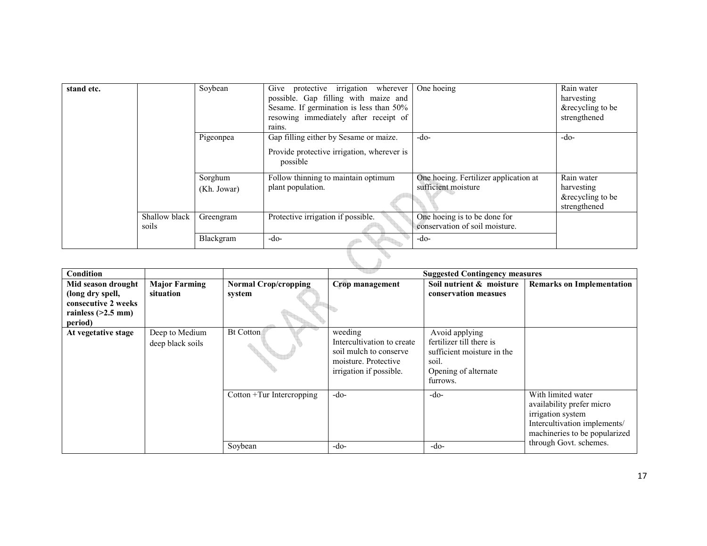| stand etc. |                        | Soybean                | Give protective irrigation wherever<br>possible. Gap filling with maize and<br>Sesame. If germination is less than 50%<br>resowing immediately after receipt of<br>rains. | One hoeing                                                     | Rain water<br>harvesting<br>&recycling to be<br>strengthened |
|------------|------------------------|------------------------|---------------------------------------------------------------------------------------------------------------------------------------------------------------------------|----------------------------------------------------------------|--------------------------------------------------------------|
|            |                        | Pigeonpea              | Gap filling either by Sesame or maize.<br>Provide protective irrigation, wherever is<br>possible                                                                          | $-do-$                                                         | $-do-$                                                       |
|            |                        | Sorghum<br>(Kh. Jowar) | Follow thinning to maintain optimum<br>plant population.                                                                                                                  | One hoeing. Fertilizer application at<br>sufficient moisture   | Rain water<br>harvesting<br>&recycling to be<br>strengthened |
|            | Shallow black<br>soils | Greengram              | Protective irrigation if possible.                                                                                                                                        | One hoeing is to be done for<br>conservation of soil moisture. |                                                              |
|            |                        | Blackgram              | $-do-$                                                                                                                                                                    | $-do-$                                                         |                                                              |
|            |                        |                        |                                                                                                                                                                           |                                                                |                                                              |

| Condition            |                      |                             |                            | <b>Suggested Contingency measures</b> |                                  |
|----------------------|----------------------|-----------------------------|----------------------------|---------------------------------------|----------------------------------|
| Mid season drought   | <b>Major Farming</b> | <b>Normal Crop/cropping</b> | Crop management            | Soil nutrient & moisture              | <b>Remarks on Implementation</b> |
| (long dry spell,     | situation            | system                      |                            | conservation measues                  |                                  |
| consecutive 2 weeks  |                      |                             |                            |                                       |                                  |
| rainless $(>2.5$ mm) |                      |                             |                            |                                       |                                  |
| period)              |                      |                             |                            |                                       |                                  |
| At vegetative stage  | Deep to Medium       | <b>Bt Cotton</b>            | weeding                    | Avoid applying                        |                                  |
|                      | deep black soils     |                             | Intercultivation to create | fertilizer till there is              |                                  |
|                      |                      |                             | soil mulch to conserve     | sufficient moisture in the            |                                  |
|                      |                      |                             | moisture. Protective       | soil.                                 |                                  |
|                      |                      |                             | irrigation if possible.    | Opening of alternate                  |                                  |
|                      |                      |                             |                            | furrows.                              |                                  |
|                      |                      | Cotton +Tur Intercropping   | $-do-$                     | $-do-$                                | With limited water               |
|                      |                      |                             |                            |                                       | availability prefer micro        |
|                      |                      |                             |                            |                                       | irrigation system                |
|                      |                      |                             |                            |                                       | Intercultivation implements/     |
|                      |                      |                             |                            |                                       | machineries to be popularized    |
|                      |                      | Soybean                     | -do-                       | $-do-$                                | through Govt. schemes.           |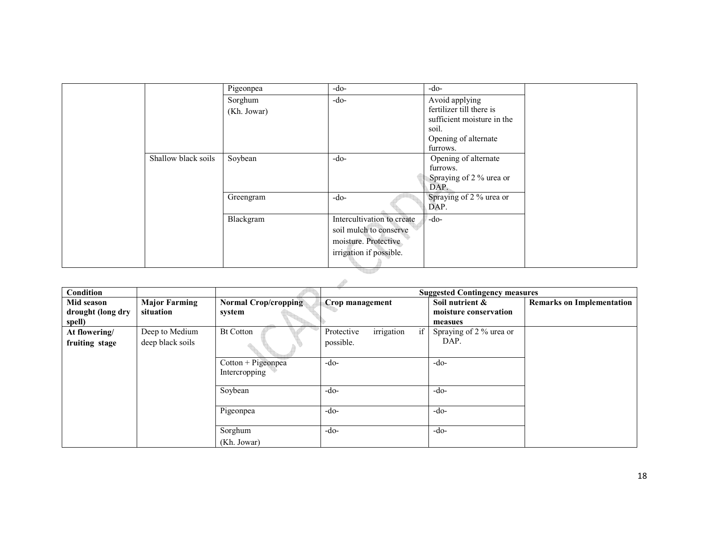|                     | Pigeonpea   | $-do-$                     | $-do-$                     |  |
|---------------------|-------------|----------------------------|----------------------------|--|
|                     | Sorghum     | $-do-$                     | Avoid applying             |  |
|                     | (Kh. Jowar) |                            | fertilizer till there is   |  |
|                     |             |                            | sufficient moisture in the |  |
|                     |             |                            | soil.                      |  |
|                     |             |                            | Opening of alternate       |  |
|                     |             |                            | furrows.                   |  |
| Shallow black soils | Soybean     | $-do-$                     | Opening of alternate       |  |
|                     |             |                            | furrows.                   |  |
|                     |             |                            | Spraying of 2 % urea or    |  |
|                     |             |                            | DAP.                       |  |
|                     | Greengram   | $-do-$                     | Spraying of 2 % urea or    |  |
|                     |             |                            | DAP.                       |  |
|                     | Blackgram   | Intercultivation to create | $-do-$                     |  |
|                     |             | soil mulch to conserve     |                            |  |
|                     |             | moisture. Protective       |                            |  |
|                     |             | irrigation if possible.    |                            |  |
|                     |             |                            |                            |  |

# <u>ta ang pag</u>

| Condition                                 |                                   |                                       |                                | <b>Suggested Contingency measures</b>               |                                  |
|-------------------------------------------|-----------------------------------|---------------------------------------|--------------------------------|-----------------------------------------------------|----------------------------------|
| Mid season<br>drought (long dry<br>spell) | <b>Major Farming</b><br>situation | <b>Normal Crop/cropping</b><br>system | Crop management                | Soil nutrient &<br>moisture conservation<br>measues | <b>Remarks on Implementation</b> |
| At flowering/                             | Deep to Medium                    | <b>Bt Cotton</b>                      | irrigation<br>if<br>Protective | Spraying of 2 % urea or                             |                                  |
| fruiting stage                            | deep black soils                  |                                       | possible.                      | DAP.                                                |                                  |
|                                           |                                   | Cotton + Pigeonpea<br>Intercropping   | $-do-$                         | $-do-$                                              |                                  |
|                                           |                                   | Soybean                               | $-do-$                         | $-do-$                                              |                                  |
|                                           |                                   | Pigeonpea                             | $-do-$                         | $-do-$                                              |                                  |
|                                           |                                   | Sorghum                               | $-do-$                         | $-do-$                                              |                                  |
|                                           |                                   | (Kh. Jowar)                           |                                |                                                     |                                  |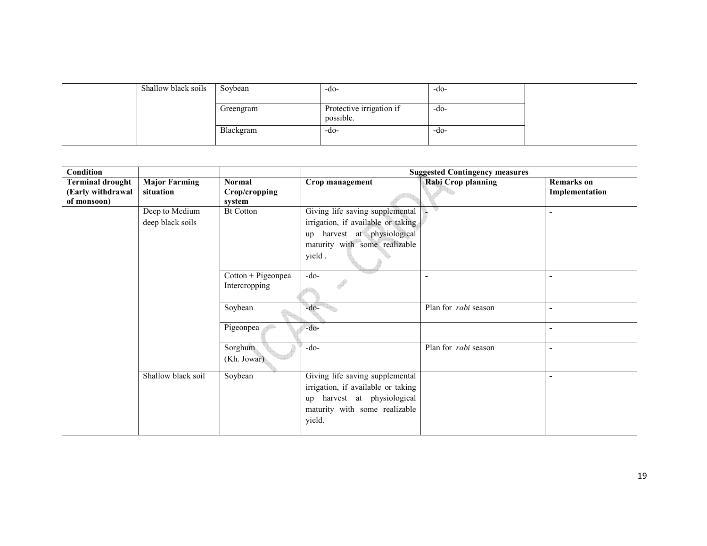| Shallow black soils | Soybean   | -do-                                  | -do- |  |
|---------------------|-----------|---------------------------------------|------|--|
|                     | Greengram | Protective irrigation if<br>possible. | -do- |  |
|                     | Blackgram | -do-                                  | -do- |  |

| Condition                                                   |                                   |                                          |                                    | <b>Suggested Contingency measures</b> |                                     |
|-------------------------------------------------------------|-----------------------------------|------------------------------------------|------------------------------------|---------------------------------------|-------------------------------------|
| <b>Terminal drought</b><br>(Early withdrawal<br>of monsoon) | <b>Major Farming</b><br>situation | <b>Normal</b><br>Crop/cropping<br>system | Crop management                    | <b>Rabi Crop planning</b>             | <b>Remarks</b> on<br>Implementation |
|                                                             | Deep to Medium                    | <b>Bt Cotton</b>                         | Giving life saving supplemental    |                                       |                                     |
|                                                             | deep black soils                  |                                          | irrigation, if available or taking |                                       |                                     |
|                                                             |                                   |                                          | up harvest at physiological        |                                       |                                     |
|                                                             |                                   |                                          | maturity with some realizable      |                                       |                                     |
|                                                             |                                   |                                          | yield.                             |                                       |                                     |
|                                                             |                                   | $Cottom + Pigeonpea$                     | $-do-$                             |                                       |                                     |
|                                                             |                                   | Intercropping                            |                                    |                                       |                                     |
|                                                             |                                   | Soybean                                  | $-do-$                             | Plan for rabi season                  | $\blacksquare$                      |
|                                                             |                                   | Pigeonpea                                | $-do-$                             |                                       |                                     |
|                                                             |                                   | Sorghum                                  | $-do-$                             | Plan for <i>rabi</i> season           | $\blacksquare$                      |
|                                                             |                                   | (Kh. Jowar)                              |                                    |                                       |                                     |
|                                                             | Shallow black soil                | Soybean                                  | Giving life saving supplemental    |                                       | ٠                                   |
|                                                             |                                   |                                          | irrigation, if available or taking |                                       |                                     |
|                                                             |                                   |                                          | up harvest at physiological        |                                       |                                     |
|                                                             |                                   |                                          | maturity with some realizable      |                                       |                                     |
|                                                             |                                   |                                          | yield.                             |                                       |                                     |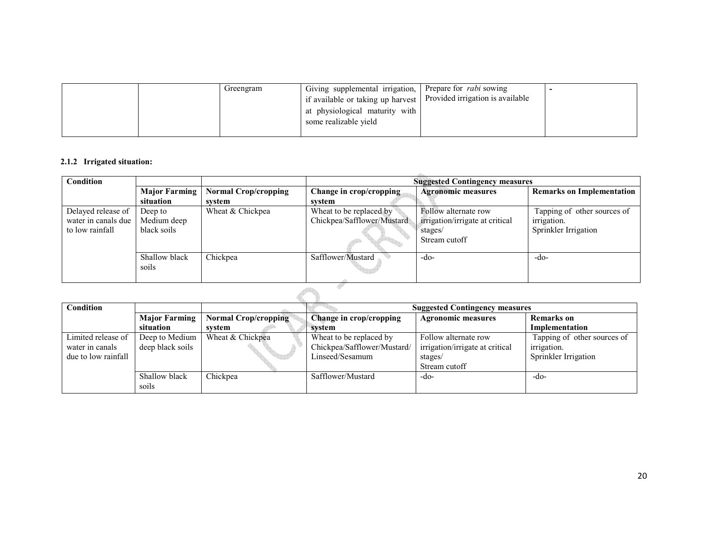| Greengram | Giving supplemental irrigation, Prepare for <i>rabi</i> sowing<br>I if available or taking up harvest   Provided irrigation is available<br>at physiological maturity with<br>some realizable yield |  |  |
|-----------|-----------------------------------------------------------------------------------------------------------------------------------------------------------------------------------------------------|--|--|
|-----------|-----------------------------------------------------------------------------------------------------------------------------------------------------------------------------------------------------|--|--|

## 2.1.2 Irrigated situation:

| <b>Normal Crop/cropping</b><br><b>Agronomic measures</b><br><b>Major Farming</b><br>Change in crop/cropping<br>situation<br>system<br>svstem<br>Wheat & Chickpea<br>Follow alternate row<br>Delayed release of<br>Wheat to be replaced by<br>Deep to<br>Chickpea/Safflower/Mustard<br>irrigation.<br>irrigation/irrigate at critical<br>water in canals due<br>Medium deep<br>black soils<br>Sprinkler Irrigation<br>to low rainfall<br>stages/<br>Stream cutoff | <b>Remarks on Implementation</b> |
|------------------------------------------------------------------------------------------------------------------------------------------------------------------------------------------------------------------------------------------------------------------------------------------------------------------------------------------------------------------------------------------------------------------------------------------------------------------|----------------------------------|
|                                                                                                                                                                                                                                                                                                                                                                                                                                                                  |                                  |
|                                                                                                                                                                                                                                                                                                                                                                                                                                                                  | Tapping of other sources of      |
| Chickpea<br>Shallow black<br>Safflower/Mustard<br>-do-<br>$-do-$<br>soils                                                                                                                                                                                                                                                                                                                                                                                        |                                  |

| Condition           |                      | <b>Suggested Contingency measures</b> |                             |                                 |                             |
|---------------------|----------------------|---------------------------------------|-----------------------------|---------------------------------|-----------------------------|
|                     | <b>Major Farming</b> | <b>Normal Crop/cropping</b>           | Change in crop/cropping     | <b>Agronomic measures</b>       | <b>Remarks</b> on           |
|                     | situation            | svstem                                | system                      |                                 | Implementation              |
| Limited release of  | Deep to Medium       | Wheat & Chickpea                      | Wheat to be replaced by     | Follow alternate row            | Tapping of other sources of |
| water in canals     | deep black soils     |                                       | Chickpea/Safflower/Mustard/ | irrigation/irrigate at critical | irrigation.                 |
| due to low rainfall |                      |                                       | Linseed/Sesamum             | stages/                         | Sprinkler Irrigation        |
|                     |                      |                                       |                             | Stream cutoff                   |                             |
|                     | Shallow black        | Chickpea                              | Safflower/Mustard           | -do-                            | -do-                        |
|                     | soils                |                                       |                             |                                 |                             |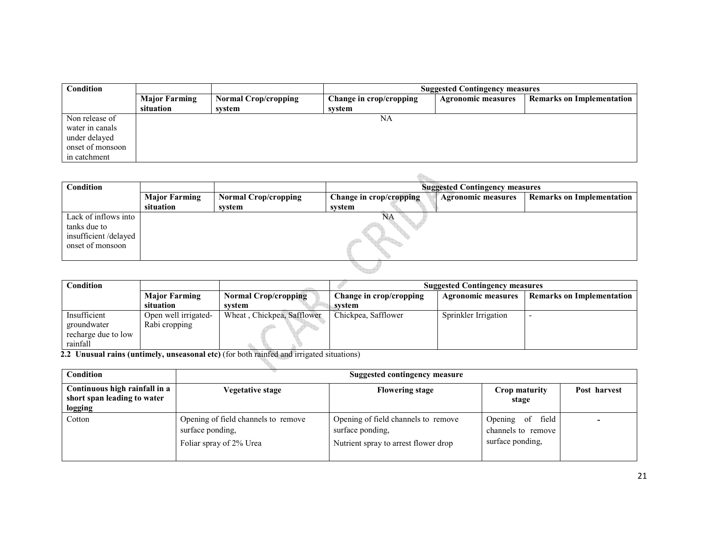| <b>Condition</b> |                                   |                             | <b>Suggested Contingency measures</b> |                           |                                  |  |
|------------------|-----------------------------------|-----------------------------|---------------------------------------|---------------------------|----------------------------------|--|
|                  | <b>Major Farming</b><br>situation | <b>Normal Crop/cropping</b> | Change in crop/cropping               | <b>Agronomic measures</b> | <b>Remarks on Implementation</b> |  |
|                  |                                   | system                      | system                                |                           |                                  |  |
| Non release of   |                                   |                             | NA                                    |                           |                                  |  |
| water in canals  |                                   |                             |                                       |                           |                                  |  |
| under delayed    |                                   |                             |                                       |                           |                                  |  |
| onset of monsoon |                                   |                             |                                       |                           |                                  |  |
| in catchment     |                                   |                             |                                       |                           |                                  |  |

| <b>Condition</b>                                                                 |                      |                             |                         | <b>Suggested Contingency measures</b> |                                  |
|----------------------------------------------------------------------------------|----------------------|-----------------------------|-------------------------|---------------------------------------|----------------------------------|
|                                                                                  | <b>Major Farming</b> | <b>Normal Crop/cropping</b> | Change in crop/cropping | <b>Agronomic measures</b>             | <b>Remarks on Implementation</b> |
|                                                                                  | situation            | system                      | system                  |                                       |                                  |
| Lack of inflows into<br>tanks due to<br>insufficient/delayed<br>onset of monsoon |                      |                             | NΑ                      |                                       |                                  |
|                                                                                  |                      |                             |                         |                                       |                                  |

| Condition           |                      |                             | <b>Suggested Contingency measures</b> |                           |                                  |
|---------------------|----------------------|-----------------------------|---------------------------------------|---------------------------|----------------------------------|
|                     | <b>Major Farming</b> | <b>Normal Crop/cropping</b> | Change in crop/cropping               | <b>Agronomic measures</b> | <b>Remarks on Implementation</b> |
|                     | situation            | system                      | svstem                                |                           |                                  |
| Insufficient        | Open well irrigated- | Wheat, Chickpea, Safflower  | Chickpea, Safflower                   | Sprinkler Irrigation      |                                  |
| groundwater         | Rabi cropping        |                             |                                       |                           |                                  |
| recharge due to low |                      |                             |                                       |                           |                                  |
| rainfall            |                      |                             |                                       |                           |                                  |

2.2 Unusual rains (untimely, unseasonal etc) (for both rainfed and irrigated situations)

| <b>Condition</b>                                                        |                                                                                    | Suggested contingency measure                                                                   |                                                            |              |  |  |
|-------------------------------------------------------------------------|------------------------------------------------------------------------------------|-------------------------------------------------------------------------------------------------|------------------------------------------------------------|--------------|--|--|
| Continuous high rainfall in a<br>short span leading to water<br>logging | Vegetative stage                                                                   | <b>Flowering stage</b>                                                                          | Crop maturity<br>stage                                     | Post harvest |  |  |
| Cotton                                                                  | Opening of field channels to remove<br>surface ponding,<br>Foliar spray of 2% Urea | Opening of field channels to remove<br>surface ponding,<br>Nutrient spray to arrest flower drop | Opening of field<br>channels to remove<br>surface ponding, |              |  |  |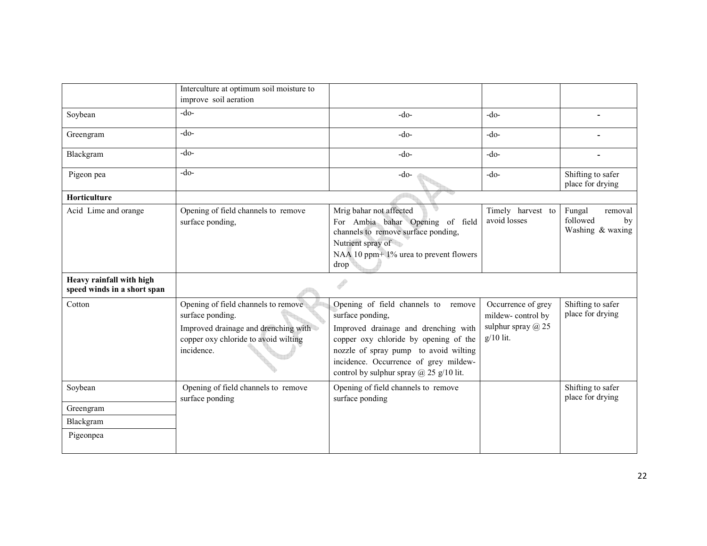|                                                         | Interculture at optimum soil moisture to<br>improve soil aeration                                                                                     |                                                                                                                                                                                                                                                                              |                                                                                     |                                                         |
|---------------------------------------------------------|-------------------------------------------------------------------------------------------------------------------------------------------------------|------------------------------------------------------------------------------------------------------------------------------------------------------------------------------------------------------------------------------------------------------------------------------|-------------------------------------------------------------------------------------|---------------------------------------------------------|
| Soybean                                                 | $-do-$                                                                                                                                                | $-do-$                                                                                                                                                                                                                                                                       | $-do-$                                                                              |                                                         |
| Greengram                                               | $-do-$                                                                                                                                                | $-do-$                                                                                                                                                                                                                                                                       | $-do-$                                                                              |                                                         |
| Blackgram                                               | $-do-$                                                                                                                                                | $-do-$                                                                                                                                                                                                                                                                       | $-do-$                                                                              |                                                         |
| Pigeon pea                                              | $-do-$                                                                                                                                                | $-do-$                                                                                                                                                                                                                                                                       | $-do-$                                                                              | Shifting to safer<br>place for drying                   |
| Horticulture                                            |                                                                                                                                                       |                                                                                                                                                                                                                                                                              |                                                                                     |                                                         |
| Acid Lime and orange                                    | Opening of field channels to remove<br>surface ponding,                                                                                               | Mrig bahar not affected<br>For Ambia bahar Opening of field<br>channels to remove surface ponding,<br>Nutrient spray of<br>NAA 10 ppm+1% urea to prevent flowers<br>drop                                                                                                     | Timely harvest to<br>avoid losses                                                   | Fungal<br>removal<br>followed<br>by<br>Washing & waxing |
| Heavy rainfall with high<br>speed winds in a short span |                                                                                                                                                       |                                                                                                                                                                                                                                                                              |                                                                                     |                                                         |
| Cotton                                                  | Opening of field channels to remove<br>surface ponding.<br>Improved drainage and drenching with<br>copper oxy chloride to avoid wilting<br>incidence. | Opening of field channels to remove<br>surface ponding,<br>Improved drainage and drenching with<br>copper oxy chloride by opening of the<br>nozzle of spray pump to avoid wilting<br>incidence. Occurrence of grey mildew-<br>control by sulphur spray $\omega$ 25 g/10 lit. | Occurrence of grey<br>mildew-control by<br>sulphur spray $\omega$ 25<br>$g/10$ lit. | Shifting to safer<br>place for drying                   |
| Soybean                                                 | Opening of field channels to remove<br>surface ponding                                                                                                | Opening of field channels to remove<br>surface ponding                                                                                                                                                                                                                       |                                                                                     | Shifting to safer<br>place for drying                   |
| Greengram                                               |                                                                                                                                                       |                                                                                                                                                                                                                                                                              |                                                                                     |                                                         |
| Blackgram                                               |                                                                                                                                                       |                                                                                                                                                                                                                                                                              |                                                                                     |                                                         |
| Pigeonpea                                               |                                                                                                                                                       |                                                                                                                                                                                                                                                                              |                                                                                     |                                                         |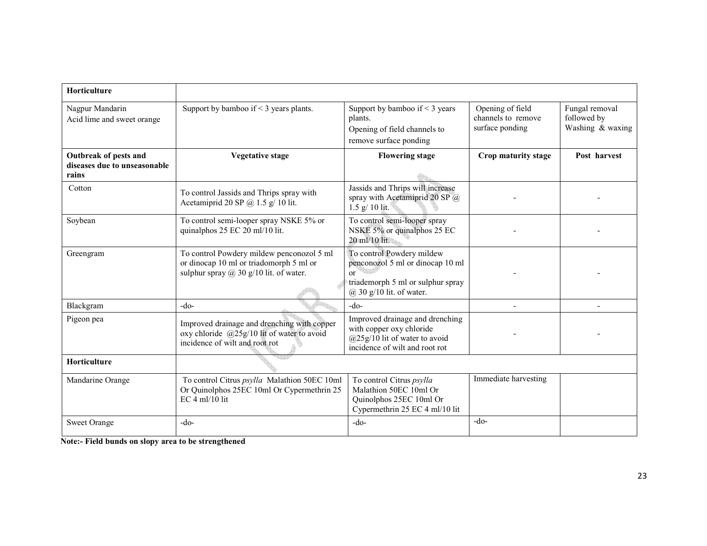| <b>Horticulture</b>                                            |                                                                                                                                       |                                                                                                                                                |                                                           |                                                   |
|----------------------------------------------------------------|---------------------------------------------------------------------------------------------------------------------------------------|------------------------------------------------------------------------------------------------------------------------------------------------|-----------------------------------------------------------|---------------------------------------------------|
| Nagpur Mandarin<br>Acid lime and sweet orange                  | Support by bamboo if $\leq$ 3 years plants.                                                                                           | Support by bamboo if $\leq$ 3 years<br>plants.<br>Opening of field channels to<br>remove surface ponding                                       | Opening of field<br>channels to remove<br>surface ponding | Fungal removal<br>followed by<br>Washing & waxing |
| Outbreak of pests and<br>diseases due to unseasonable<br>rains | <b>Vegetative stage</b>                                                                                                               | <b>Flowering stage</b>                                                                                                                         | Crop maturity stage                                       | Post harvest                                      |
| Cotton                                                         | To control Jassids and Thrips spray with<br>Acetamiprid 20 SP $(a)$ 1.5 g/ 10 lit.                                                    | Jassids and Thrips will increase<br>spray with Acetamiprid 20 SP @<br>$1.5 \text{ g} / 10 \text{ lit.}$                                        |                                                           |                                                   |
| Soybean                                                        | To control semi-looper spray NSKE 5% or<br>quinalphos 25 EC 20 ml/10 lit.                                                             | To control semi-looper spray<br>NSKE 5% or quinalphos 25 EC<br>20 ml/10 lit.                                                                   |                                                           |                                                   |
| Greengram                                                      | To control Powdery mildew penconozol 5 ml<br>or dinocap 10 ml or triadomorph 5 ml or<br>sulphur spray $\omega$ 30 g/10 lit. of water. | To control Powdery mildew<br>penconozol 5 ml or dinocap 10 ml<br>$\alpha$<br>triademorph 5 ml or sulphur spray<br>$(a)$ 30 g/10 lit. of water. |                                                           |                                                   |
| Blackgram                                                      | $-do-$                                                                                                                                | $-do-$                                                                                                                                         |                                                           |                                                   |
| Pigeon pea                                                     | Improved drainage and drenching with copper<br>oxy chloride @25g/10 lit of water to avoid<br>incidence of wilt and root rot           | Improved drainage and drenching<br>with copper oxy chloride<br>$(a)$ 25g/10 lit of water to avoid<br>incidence of wilt and root rot            |                                                           |                                                   |
| Horticulture                                                   |                                                                                                                                       |                                                                                                                                                |                                                           |                                                   |
| Mandarine Orange                                               | To control Citrus psylla Malathion 50EC 10ml<br>Or Quinolphos 25EC 10ml Or Cypermethrin 25<br>$EC$ 4 ml/10 lit                        | To control Citrus psylla<br>Malathion 50EC 10ml Or<br>Quinolphos 25EC 10ml Or<br>Cypermethrin 25 EC 4 ml/10 lit                                | Immediate harvesting                                      |                                                   |
| <b>Sweet Orange</b>                                            | $-do-$                                                                                                                                | $-do-$                                                                                                                                         | $-do-$                                                    |                                                   |

Note:- Field bunds on slopy area to be strengthened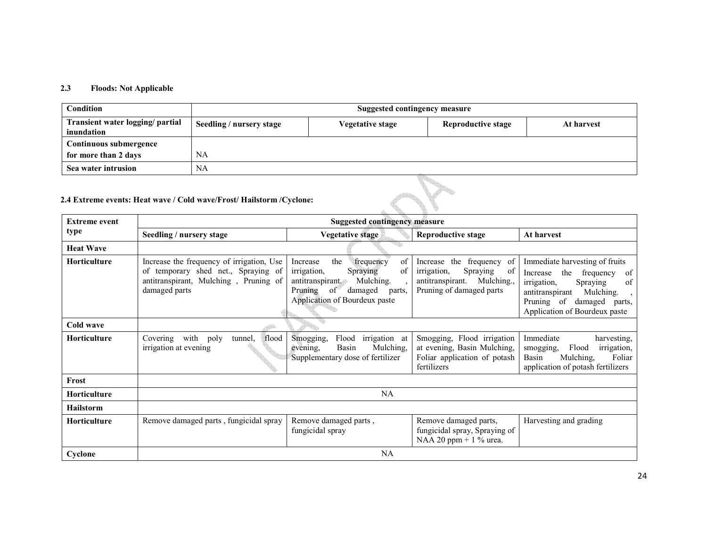# 2.3 Floods: Not Applicable

| Condition                                      | <b>Suggested contingency measure</b>                                  |                              |                           |            |  |  |
|------------------------------------------------|-----------------------------------------------------------------------|------------------------------|---------------------------|------------|--|--|
| Transient water logging/ partial<br>inundation | Seedling / nursery stage                                              | Vegetative stage             | <b>Reproductive stage</b> | At harvest |  |  |
| Continuous submergence                         |                                                                       |                              |                           |            |  |  |
| for more than 2 days                           | <b>NA</b>                                                             |                              |                           |            |  |  |
| Sea water intrusion                            | NA                                                                    |                              |                           |            |  |  |
|                                                | 2.4 Extreme events: Heat wave / Cold wave/Frost/ Hailstorm / Cyclone: |                              |                           |            |  |  |
| Extrama avant                                  |                                                                       | Cugasted contingency measure |                           |            |  |  |

# 2.4 Extreme events: Heat wave / Cold wave/Frost/ Hailstorm /Cyclone:

| <b>Extreme event</b> |                                                                                                                                            | <b>Suggested contingency measure</b>                                                                                                                                                |                                                                                                                              |                                                                                                                                                                                                                           |  |
|----------------------|--------------------------------------------------------------------------------------------------------------------------------------------|-------------------------------------------------------------------------------------------------------------------------------------------------------------------------------------|------------------------------------------------------------------------------------------------------------------------------|---------------------------------------------------------------------------------------------------------------------------------------------------------------------------------------------------------------------------|--|
| type                 | Seedling / nursery stage                                                                                                                   | Vegetative stage                                                                                                                                                                    | <b>Reproductive stage</b>                                                                                                    | At harvest                                                                                                                                                                                                                |  |
| <b>Heat Wave</b>     |                                                                                                                                            |                                                                                                                                                                                     |                                                                                                                              |                                                                                                                                                                                                                           |  |
| <b>Horticulture</b>  | Increase the frequency of irrigation, Use<br>of temporary shed net., Spraying of<br>antitranspirant, Mulching, Pruning of<br>damaged parts | of<br>the<br>frequency<br>Increase<br>of<br>Spraying<br><i>irrigation</i> ,<br>Mulching.<br>antitranspirant.<br>of<br>Pruning<br>damaged<br>parts,<br>Application of Bourdeux paste | frequency of<br>Increase the<br>irrigation,<br>Spraying<br>-of<br>Mulching.,<br>antitranspirant.<br>Pruning of damaged parts | Immediate harvesting of fruits<br>the<br>of<br>frequency<br>Increase<br>Spraying<br>of<br><i>irrigation</i> ,<br>Mulching.<br>antitranspirant<br>$\cdot$<br>Pruning of damaged<br>parts,<br>Application of Bourdeux paste |  |
| Cold wave            |                                                                                                                                            |                                                                                                                                                                                     |                                                                                                                              |                                                                                                                                                                                                                           |  |
| <b>Horticulture</b>  | flood<br>poly<br>tunnel,<br>Covering<br>with<br>irrigation at evening                                                                      | Flood<br>Smogging,<br>irrigation at<br>Basin<br>Mulching,<br>evening,<br>Supplementary dose of fertilizer                                                                           | Smogging,<br>Flood irrigation<br>at evening, Basin Mulching,<br>Foliar application of potash<br>fertilizers                  | Immediate<br>harvesting.<br>Flood<br>irrigation,<br>smogging,<br>Mulching,<br>Foliar<br>Basin<br>application of potash fertilizers                                                                                        |  |
| Frost                |                                                                                                                                            |                                                                                                                                                                                     |                                                                                                                              |                                                                                                                                                                                                                           |  |
| <b>Horticulture</b>  |                                                                                                                                            | NA                                                                                                                                                                                  |                                                                                                                              |                                                                                                                                                                                                                           |  |
| <b>Hailstorm</b>     |                                                                                                                                            |                                                                                                                                                                                     |                                                                                                                              |                                                                                                                                                                                                                           |  |
| <b>Horticulture</b>  | Remove damaged parts, fungicidal spray                                                                                                     | Remove damaged parts,<br>fungicidal spray                                                                                                                                           | Remove damaged parts,<br>fungicidal spray, Spraying of<br>NAA 20 ppm + $1\%$ urea.                                           | Harvesting and grading                                                                                                                                                                                                    |  |
| Cyclone              |                                                                                                                                            | NA                                                                                                                                                                                  |                                                                                                                              |                                                                                                                                                                                                                           |  |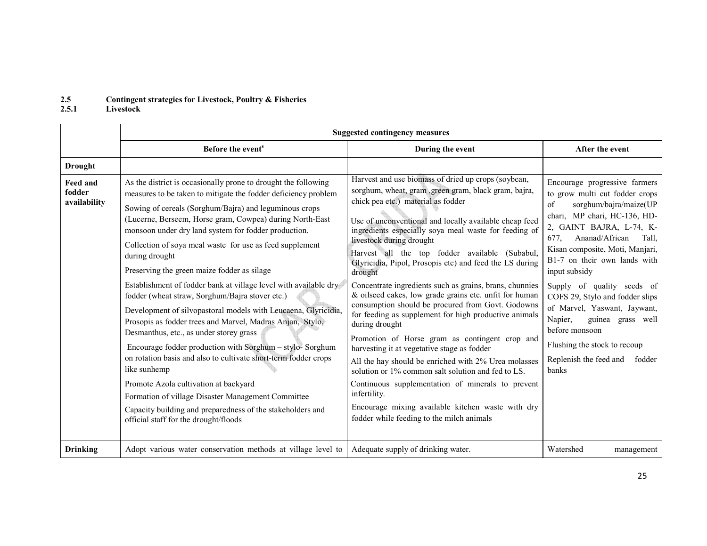# 2.5Contingent strategies for Livestock, Poultry & Fisheries 2.5.1 Livestock

|                                           |                                                                                                                                                                                                                                                                                                                                                                                                                                                                                                                                                                                                                                                                                                                                                                                                                                                                                                                                                                                                                                                                                                   | <b>Suggested contingency measures</b>                                                                                                                                                                                                                                                                                                                                                                                                                                                                                                                                                                                                                                                                                                                                                                                                                                                                                                                                                                                                                                |                                                                                                                                                                                                                                                                                                                                                                                                                                                                                                                    |
|-------------------------------------------|---------------------------------------------------------------------------------------------------------------------------------------------------------------------------------------------------------------------------------------------------------------------------------------------------------------------------------------------------------------------------------------------------------------------------------------------------------------------------------------------------------------------------------------------------------------------------------------------------------------------------------------------------------------------------------------------------------------------------------------------------------------------------------------------------------------------------------------------------------------------------------------------------------------------------------------------------------------------------------------------------------------------------------------------------------------------------------------------------|----------------------------------------------------------------------------------------------------------------------------------------------------------------------------------------------------------------------------------------------------------------------------------------------------------------------------------------------------------------------------------------------------------------------------------------------------------------------------------------------------------------------------------------------------------------------------------------------------------------------------------------------------------------------------------------------------------------------------------------------------------------------------------------------------------------------------------------------------------------------------------------------------------------------------------------------------------------------------------------------------------------------------------------------------------------------|--------------------------------------------------------------------------------------------------------------------------------------------------------------------------------------------------------------------------------------------------------------------------------------------------------------------------------------------------------------------------------------------------------------------------------------------------------------------------------------------------------------------|
|                                           | Before the event <sup>s</sup>                                                                                                                                                                                                                                                                                                                                                                                                                                                                                                                                                                                                                                                                                                                                                                                                                                                                                                                                                                                                                                                                     | During the event                                                                                                                                                                                                                                                                                                                                                                                                                                                                                                                                                                                                                                                                                                                                                                                                                                                                                                                                                                                                                                                     | After the event                                                                                                                                                                                                                                                                                                                                                                                                                                                                                                    |
| <b>Drought</b>                            |                                                                                                                                                                                                                                                                                                                                                                                                                                                                                                                                                                                                                                                                                                                                                                                                                                                                                                                                                                                                                                                                                                   |                                                                                                                                                                                                                                                                                                                                                                                                                                                                                                                                                                                                                                                                                                                                                                                                                                                                                                                                                                                                                                                                      |                                                                                                                                                                                                                                                                                                                                                                                                                                                                                                                    |
| <b>Feed and</b><br>fodder<br>availability | As the district is occasionally prone to drought the following<br>measures to be taken to mitigate the fodder deficiency problem<br>Sowing of cereals (Sorghum/Bajra) and leguminous crops<br>(Lucerne, Berseem, Horse gram, Cowpea) during North-East<br>monsoon under dry land system for fodder production.<br>Collection of soya meal waste for use as feed supplement<br>during drought<br>Preserving the green maize fodder as silage<br>Establishment of fodder bank at village level with available dry<br>fodder (wheat straw, Sorghum/Bajra stover etc.)<br>Development of silvopastoral models with Leucaena, Glyricidia,<br>Prosopis as fodder trees and Marvel, Madras Anjan, Stylo,<br>Desmanthus, etc., as under storey grass<br>Encourage fodder production with Sorghum - stylo-Sorghum<br>on rotation basis and also to cultivate short-term fodder crops<br>like sunhemp<br>Promote Azola cultivation at backyard<br>Formation of village Disaster Management Committee<br>Capacity building and preparedness of the stakeholders and<br>official staff for the drought/floods | Harvest and use biomass of dried up crops (soybean,<br>sorghum, wheat, gram , green gram, black gram, bajra,<br>chick pea etc.) material as fodder<br>Use of unconventional and locally available cheap feed<br>ingredients especially soya meal waste for feeding of<br>livestock during drought<br>Harvest all the top fodder available (Subabul,<br>Glyricidia, Pipol, Prosopis etc) and feed the LS during<br>drought<br>Concentrate ingredients such as grains, brans, chunnies<br>& oilseed cakes, low grade grains etc. unfit for human<br>consumption should be procured from Govt. Godowns<br>for feeding as supplement for high productive animals<br>during drought<br>Promotion of Horse gram as contingent crop and<br>harvesting it at vegetative stage as fodder<br>All the hay should be enriched with 2% Urea molasses<br>solution or 1% common salt solution and fed to LS.<br>Continuous supplementation of minerals to prevent<br>infertility.<br>Encourage mixing available kitchen waste with dry<br>fodder while feeding to the milch animals | Encourage progressive farmers<br>to grow multi cut fodder crops<br>sorghum/bajra/maize(UP<br>of<br>chari, MP chari, HC-136, HD-<br>2, GAINT BAJRA, L-74, K-<br>Ananad/African<br>Tall.<br>677.<br>Kisan composite, Moti, Manjari,<br>B1-7 on their own lands with<br>input subsidy<br>Supply of quality seeds of<br>COFS 29, Stylo and fodder slips<br>of Marvel, Yaswant, Jaywant,<br>Napier,<br>guinea grass well<br>before monsoon<br>Flushing the stock to recoup<br>Replenish the feed and<br>fodder<br>banks |
| <b>Drinking</b>                           | Adopt various water conservation methods at village level to                                                                                                                                                                                                                                                                                                                                                                                                                                                                                                                                                                                                                                                                                                                                                                                                                                                                                                                                                                                                                                      | Adequate supply of drinking water.                                                                                                                                                                                                                                                                                                                                                                                                                                                                                                                                                                                                                                                                                                                                                                                                                                                                                                                                                                                                                                   | Watershed<br>management                                                                                                                                                                                                                                                                                                                                                                                                                                                                                            |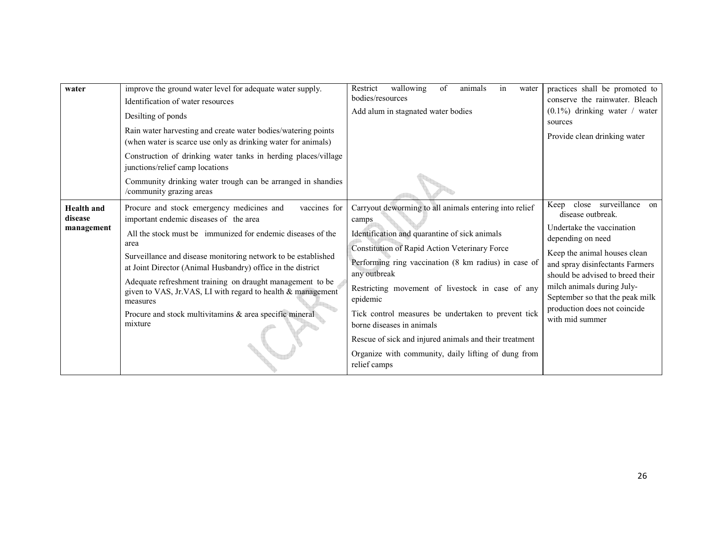| water                                      | improve the ground water level for adequate water supply.<br>Identification of water resources<br>Desilting of ponds<br>Rain water harvesting and create water bodies/watering points<br>(when water is scarce use only as drinking water for animals)<br>Construction of drinking water tanks in herding places/village<br>junctions/relief camp locations                                                                                                                                                              | wallowing<br>of<br>animals<br>Restrict<br>in<br>water<br>bodies/resources<br>Add alum in stagnated water bodies                                                                                                                                                                                                                                                                                                                                                                                                                | practices shall be promoted to<br>conserve the rainwater. Bleach<br>$(0.1\%)$ drinking water / water<br>sources<br>Provide clean drinking water                                                                                                                                                                              |
|--------------------------------------------|--------------------------------------------------------------------------------------------------------------------------------------------------------------------------------------------------------------------------------------------------------------------------------------------------------------------------------------------------------------------------------------------------------------------------------------------------------------------------------------------------------------------------|--------------------------------------------------------------------------------------------------------------------------------------------------------------------------------------------------------------------------------------------------------------------------------------------------------------------------------------------------------------------------------------------------------------------------------------------------------------------------------------------------------------------------------|------------------------------------------------------------------------------------------------------------------------------------------------------------------------------------------------------------------------------------------------------------------------------------------------------------------------------|
|                                            | Community drinking water trough can be arranged in shandies<br>/community grazing areas                                                                                                                                                                                                                                                                                                                                                                                                                                  |                                                                                                                                                                                                                                                                                                                                                                                                                                                                                                                                |                                                                                                                                                                                                                                                                                                                              |
| <b>Health and</b><br>disease<br>management | Procure and stock emergency medicines and<br>vaccines for<br>important endemic diseases of the area<br>All the stock must be immunized for endemic diseases of the<br>area<br>Surveillance and disease monitoring network to be established<br>at Joint Director (Animal Husbandry) office in the district<br>Adequate refreshment training on draught management to be<br>given to VAS, Jr.VAS, LI with regard to health & management<br>measures<br>Procure and stock multivitamins & area specific mineral<br>mixture | Carryout deworming to all animals entering into relief<br>camps<br>Identification and quarantine of sick animals<br>Constitution of Rapid Action Veterinary Force<br>Performing ring vaccination (8 km radius) in case of<br>any outbreak<br>Restricting movement of livestock in case of any<br>epidemic<br>Tick control measures be undertaken to prevent tick<br>borne diseases in animals<br>Rescue of sick and injured animals and their treatment<br>Organize with community, daily lifting of dung from<br>relief camps | Keep close surveillance on<br>disease outbreak.<br>Undertake the vaccination<br>depending on need<br>Keep the animal houses clean<br>and spray disinfectants Farmers<br>should be advised to breed their<br>milch animals during July-<br>September so that the peak milk<br>production does not coincide<br>with mid summer |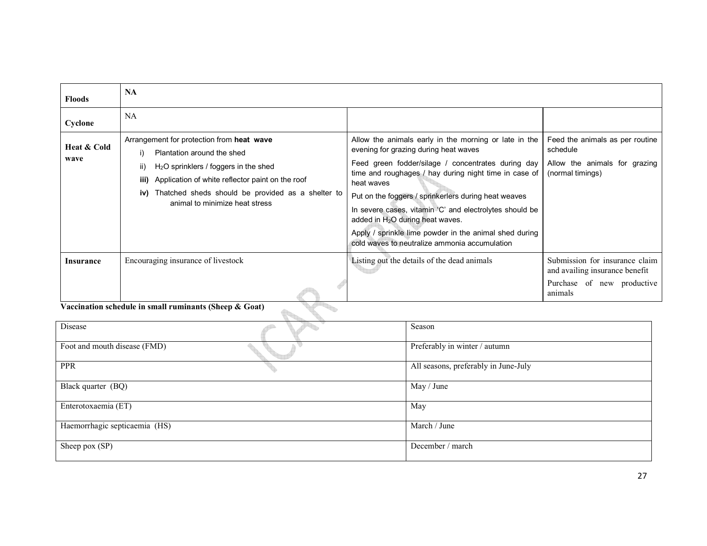| <b>Floods</b>       | <b>NA</b>                                                                                                                                                                                                                                                                          |                                                                                                                                                                                                                                                                                                                                                                                                                                                                                                 |                                                                                                           |
|---------------------|------------------------------------------------------------------------------------------------------------------------------------------------------------------------------------------------------------------------------------------------------------------------------------|-------------------------------------------------------------------------------------------------------------------------------------------------------------------------------------------------------------------------------------------------------------------------------------------------------------------------------------------------------------------------------------------------------------------------------------------------------------------------------------------------|-----------------------------------------------------------------------------------------------------------|
| Cyclone             | NA.                                                                                                                                                                                                                                                                                |                                                                                                                                                                                                                                                                                                                                                                                                                                                                                                 |                                                                                                           |
| Heat & Cold<br>wave | Arrangement for protection from heat wave<br>Plantation around the shed<br>i)<br>ii)<br>$H2O$ sprinklers / foggers in the shed<br>iii) Application of white reflector paint on the roof<br>iv) Thatched sheds should be provided as a shelter to<br>animal to minimize heat stress | Allow the animals early in the morning or late in the<br>evening for grazing during heat waves<br>Feed green fodder/silage / concentrates during day<br>time and roughages / hay during night time in case of<br>heat waves<br>Put on the foggers / sprinkerlers during heat weaves<br>In severe cases, vitamin 'C' and electrolytes should be<br>added in $H_2O$ during heat waves.<br>Apply / sprinkle lime powder in the animal shed during<br>cold waves to neutralize ammonia accumulation | Feed the animals as per routine<br>schedule<br>Allow the animals for grazing<br>(normal timings)          |
| Insurance           | Encouraging insurance of livestock                                                                                                                                                                                                                                                 | Listing out the details of the dead animals                                                                                                                                                                                                                                                                                                                                                                                                                                                     | Submission for insurance claim<br>and availing insurance benefit<br>Purchase of new productive<br>animals |

Vaccination schedule in small ruminants (Sheep & Goat)

| <i>vaccination schedule in sinan i unimants (Sheep &amp; Goat)</i> |                                      |
|--------------------------------------------------------------------|--------------------------------------|
| Disease                                                            | Season                               |
| Foot and mouth disease (FMD)                                       | Preferably in winter / autumn        |
| <b>PPR</b>                                                         | All seasons, preferably in June-July |
| Black quarter (BQ)                                                 | May / June                           |
| Enterotoxaemia (ET)                                                | May                                  |
| Haemorrhagic septicaemia (HS)                                      | March / June                         |
| Sheep pox (SP)                                                     | December / march                     |

t.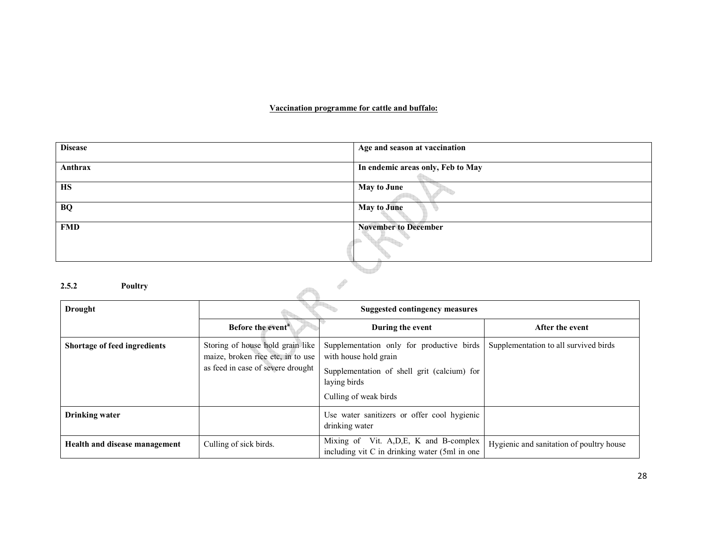# Vaccination programme for cattle and buffalo:

| <b>Disease</b>   | Age and season at vaccination     |
|------------------|-----------------------------------|
| Anthrax          | In endemic areas only, Feb to May |
| <b>HS</b>        | <b>May to June</b>                |
| <b>BQ</b>        | <b>May to June</b>                |
| <b>FMD</b>       | <b>November to December</b>       |
|                  |                                   |
| 2.5.2<br>Poultry |                                   |

# 2.5.2 Poultry

| <b>Drought</b>                | Suggested contingency measures                                                                             |                                                                                                                                                            |                                          |
|-------------------------------|------------------------------------------------------------------------------------------------------------|------------------------------------------------------------------------------------------------------------------------------------------------------------|------------------------------------------|
|                               | Before the event <sup>a</sup>                                                                              | During the event                                                                                                                                           | After the event                          |
| Shortage of feed ingredients  | Storing of house hold grain like<br>maize, broken rice etc, in to use<br>as feed in case of severe drought | Supplementation only for productive birds<br>with house hold grain<br>Supplementation of shell grit (calcium) for<br>laying birds<br>Culling of weak birds | Supplementation to all survived birds    |
| Drinking water                |                                                                                                            | Use water sanitizers or offer cool hygienic<br>drinking water                                                                                              |                                          |
| Health and disease management | Culling of sick birds.                                                                                     | Mixing of Vit. A, D, E, K and B-complex<br>including vit C in drinking water (5ml in one)                                                                  | Hygienic and sanitation of poultry house |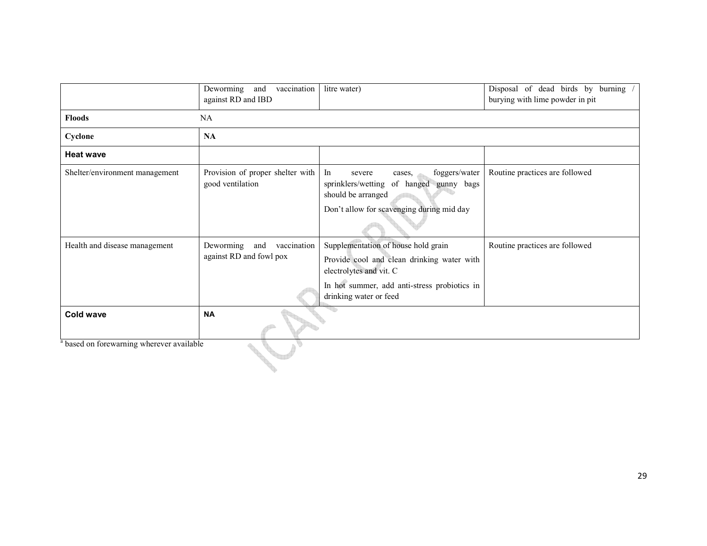|                                                      | Deworming<br>vaccination<br>and<br>against RD and IBD      | litre water)                                                                                                                                                                           | Disposal of dead birds by<br>burning<br>burying with lime powder in pit |  |
|------------------------------------------------------|------------------------------------------------------------|----------------------------------------------------------------------------------------------------------------------------------------------------------------------------------------|-------------------------------------------------------------------------|--|
| <b>Floods</b>                                        | NA                                                         |                                                                                                                                                                                        |                                                                         |  |
| Cyclone                                              | NA                                                         |                                                                                                                                                                                        |                                                                         |  |
| <b>Heat wave</b>                                     |                                                            |                                                                                                                                                                                        |                                                                         |  |
| Shelter/environment management                       | Provision of proper shelter with<br>good ventilation       | foggers/water<br>In<br>severe<br>cases.<br>of hanged gunny bags<br>sprinklers/wetting<br>should be arranged<br>Don't allow for scavenging during mid day                               | Routine practices are followed                                          |  |
| Health and disease management                        | Deworming<br>and<br>vaccination<br>against RD and fowl pox | Supplementation of house hold grain<br>Provide cool and clean drinking water with<br>electrolytes and vit. C<br>In hot summer, add anti-stress probiotics in<br>drinking water or feed | Routine practices are followed                                          |  |
| <b>Cold wave</b>                                     | <b>NA</b>                                                  |                                                                                                                                                                                        |                                                                         |  |
| <sup>a</sup> based on forewarning wherever available |                                                            |                                                                                                                                                                                        |                                                                         |  |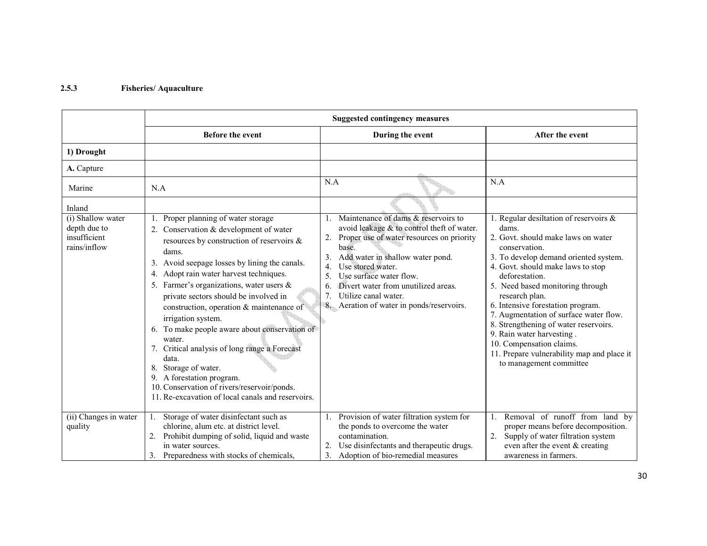# 2.5.3 Fisheries/ Aquaculture

|                                                                   | <b>Suggested contingency measures</b>                                                                                                                                                                                                                                                                                                                                                                                                                                                                                                                                                                                                                                   |                                                                                                                                                                                                                                                                                                                                                                                |                                                                                                                                                                                                                                                                                                                                                                                                                                                                                                                        |  |
|-------------------------------------------------------------------|-------------------------------------------------------------------------------------------------------------------------------------------------------------------------------------------------------------------------------------------------------------------------------------------------------------------------------------------------------------------------------------------------------------------------------------------------------------------------------------------------------------------------------------------------------------------------------------------------------------------------------------------------------------------------|--------------------------------------------------------------------------------------------------------------------------------------------------------------------------------------------------------------------------------------------------------------------------------------------------------------------------------------------------------------------------------|------------------------------------------------------------------------------------------------------------------------------------------------------------------------------------------------------------------------------------------------------------------------------------------------------------------------------------------------------------------------------------------------------------------------------------------------------------------------------------------------------------------------|--|
|                                                                   | <b>Before the event</b>                                                                                                                                                                                                                                                                                                                                                                                                                                                                                                                                                                                                                                                 | During the event                                                                                                                                                                                                                                                                                                                                                               | After the event                                                                                                                                                                                                                                                                                                                                                                                                                                                                                                        |  |
| 1) Drought                                                        |                                                                                                                                                                                                                                                                                                                                                                                                                                                                                                                                                                                                                                                                         |                                                                                                                                                                                                                                                                                                                                                                                |                                                                                                                                                                                                                                                                                                                                                                                                                                                                                                                        |  |
| A. Capture                                                        |                                                                                                                                                                                                                                                                                                                                                                                                                                                                                                                                                                                                                                                                         |                                                                                                                                                                                                                                                                                                                                                                                |                                                                                                                                                                                                                                                                                                                                                                                                                                                                                                                        |  |
| Marine                                                            | N.A                                                                                                                                                                                                                                                                                                                                                                                                                                                                                                                                                                                                                                                                     | N.A                                                                                                                                                                                                                                                                                                                                                                            | N.A                                                                                                                                                                                                                                                                                                                                                                                                                                                                                                                    |  |
| Inland                                                            |                                                                                                                                                                                                                                                                                                                                                                                                                                                                                                                                                                                                                                                                         |                                                                                                                                                                                                                                                                                                                                                                                |                                                                                                                                                                                                                                                                                                                                                                                                                                                                                                                        |  |
| (i) Shallow water<br>depth due to<br>insufficient<br>rains/inflow | 1. Proper planning of water storage<br>2. Conservation & development of water<br>resources by construction of reservoirs &<br>dams.<br>3. Avoid seepage losses by lining the canals.<br>4. Adopt rain water harvest techniques.<br>5. Farmer's organizations, water users $\&$<br>private sectors should be involved in<br>construction, operation & maintenance of<br>irrigation system.<br>6. To make people aware about conservation of<br>water.<br>7. Critical analysis of long range a Forecast<br>data.<br>8. Storage of water.<br>9. A forestation program.<br>10. Conservation of rivers/reservoir/ponds.<br>11. Re-excavation of local canals and reservoirs. | 1. Maintenance of dams & reservoirs to<br>avoid leakage & to control theft of water.<br>Proper use of water resources on priority<br>2.<br>base.<br>Add water in shallow water pond.<br>3.<br>Use stored water.<br>4.<br>5.<br>Use surface water flow.<br>Divert water from unutilized areas.<br>6.<br>Utilize canal water.<br>7.<br>8. Aeration of water in ponds/reservoirs. | 1. Regular desiltation of reservoirs &<br>dams.<br>2. Govt. should make laws on water<br>conservation.<br>3. To develop demand oriented system.<br>4. Govt. should make laws to stop<br>deforestation.<br>5. Need based monitoring through<br>research plan.<br>6. Intensive forestation program.<br>7. Augmentation of surface water flow.<br>8. Strengthening of water reservoirs.<br>9. Rain water harvesting.<br>10. Compensation claims.<br>11. Prepare vulnerability map and place it<br>to management committee |  |
| (ii) Changes in water<br>quality                                  | Storage of water disinfectant such as<br>chlorine, alum etc. at district level.<br>2. Prohibit dumping of solid, liquid and waste<br>in water sources.<br>3. Preparedness with stocks of chemicals,                                                                                                                                                                                                                                                                                                                                                                                                                                                                     | Provision of water filtration system for<br>the ponds to overcome the water<br>contamination.<br>Use disinfectants and therapeutic drugs.<br>3.<br>Adoption of bio-remedial measures                                                                                                                                                                                           | Removal of runoff from land by<br>proper means before decomposition.<br>2. Supply of water filtration system<br>even after the event $&$ creating<br>awareness in farmers.                                                                                                                                                                                                                                                                                                                                             |  |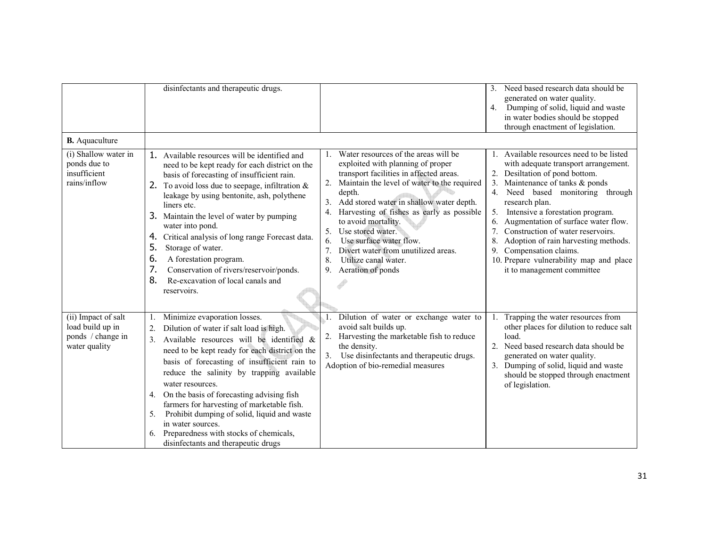|                                                                                               | disinfectants and therapeutic drugs.                                                                                                                                                                                                                                                                                                                                                                                                                                                                                                                                          |                                                                                                                                                                                                                                                                                                                                                                                                                                                                             | Need based research data should be<br>3 <sub>1</sub><br>generated on water quality.<br>4.<br>Dumping of solid, liquid and waste<br>in water bodies should be stopped<br>through enactment of legislation.                                                                                                                                                                                                                                                                                            |
|-----------------------------------------------------------------------------------------------|-------------------------------------------------------------------------------------------------------------------------------------------------------------------------------------------------------------------------------------------------------------------------------------------------------------------------------------------------------------------------------------------------------------------------------------------------------------------------------------------------------------------------------------------------------------------------------|-----------------------------------------------------------------------------------------------------------------------------------------------------------------------------------------------------------------------------------------------------------------------------------------------------------------------------------------------------------------------------------------------------------------------------------------------------------------------------|------------------------------------------------------------------------------------------------------------------------------------------------------------------------------------------------------------------------------------------------------------------------------------------------------------------------------------------------------------------------------------------------------------------------------------------------------------------------------------------------------|
| <b>B.</b> Aquaculture<br>(i) Shallow water in<br>ponds due to<br>insufficient<br>rains/inflow | 1. Available resources will be identified and<br>need to be kept ready for each district on the<br>basis of forecasting of insufficient rain.<br>2. To avoid loss due to seepage, infiltration $\&$<br>leakage by using bentonite, ash, polythene<br>liners etc.<br>3. Maintain the level of water by pumping<br>water into pond.<br>Critical analysis of long range Forecast data.<br>4.<br>5.<br>Storage of water.<br>6.<br>A forestation program.<br>7.<br>Conservation of rivers/reservoir/ponds.<br>8.<br>Re-excavation of local canals and<br>reservoirs.               | Water resources of the areas will be<br>exploited with planning of proper<br>transport facilities in affected areas.<br>Maintain the level of water to the required<br>depth.<br>Add stored water in shallow water depth.<br>3.<br>Harvesting of fishes as early as possible<br>4.<br>to avoid mortality.<br>Use stored water.<br>5.<br>Use surface water flow.<br>6.<br>7.<br>Divert water from unutilized areas.<br>8.<br>Utilize canal water.<br>9.<br>Aeration of ponds | 1. Available resources need to be listed<br>with adequate transport arrangement.<br>2. Desiltation of pond bottom.<br>3. Maintenance of tanks $&$ ponds<br>4.<br>Need based monitoring through<br>research plan.<br>5.<br>Intensive a forestation program.<br>6. Augmentation of surface water flow.<br>Construction of water reservoirs.<br>7.<br>8.<br>Adoption of rain harvesting methods.<br>Compensation claims.<br>9.<br>10. Prepare vulnerability map and place<br>it to management committee |
| (ii) Impact of salt<br>load build up in<br>ponds / change in<br>water quality                 | Minimize evaporation losses.<br>Dilution of water if salt load is high.<br>2.<br>$\mathbf{3}$ .<br>Available resources will be identified &<br>need to be kept ready for each district on the<br>basis of forecasting of insufficient rain to<br>reduce the salinity by trapping available<br>water resources.<br>On the basis of forecasting advising fish<br>4.<br>farmers for harvesting of marketable fish.<br>Prohibit dumping of solid, liquid and waste<br>5.<br>in water sources.<br>6. Preparedness with stocks of chemicals,<br>disinfectants and therapeutic drugs | Dilution of water or exchange water to<br>avoid salt builds up.<br>Harvesting the marketable fish to reduce<br>2.<br>the density.<br>Use disinfectants and therapeutic drugs.<br>3.<br>Adoption of bio-remedial measures                                                                                                                                                                                                                                                    | Trapping the water resources from<br>other places for dilution to reduce salt<br>load.<br>2. Need based research data should be<br>generated on water quality.<br>3. Dumping of solid, liquid and waste<br>should be stopped through enactment<br>of legislation.                                                                                                                                                                                                                                    |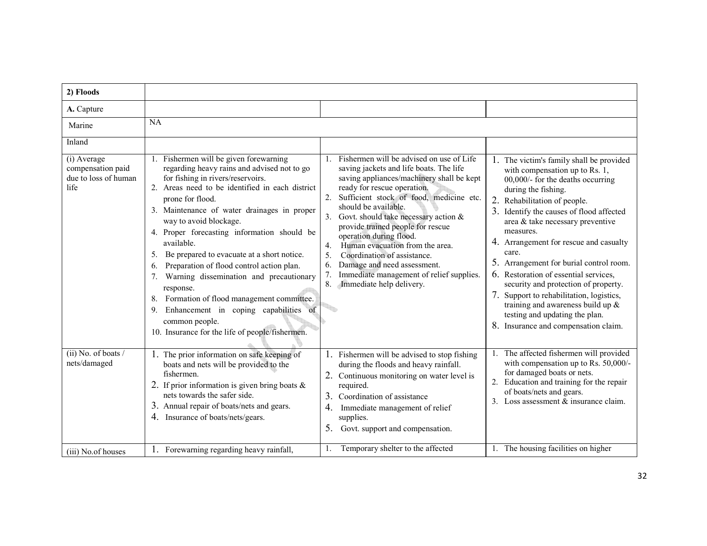| 2) Floods                                                                                                 |                                                                                                                                                                                                                                                                                                                                                                                                                                                                                                                                                                                                                                                                                                                                |                                                                                                                                                                                                                                                                                                                                                                                                                                                                                                                                                                                                                           |                                                                                                                                                                                                                                                                                                                                                                                                                                                                                                                                                                                                                                                                                                  |
|-----------------------------------------------------------------------------------------------------------|--------------------------------------------------------------------------------------------------------------------------------------------------------------------------------------------------------------------------------------------------------------------------------------------------------------------------------------------------------------------------------------------------------------------------------------------------------------------------------------------------------------------------------------------------------------------------------------------------------------------------------------------------------------------------------------------------------------------------------|---------------------------------------------------------------------------------------------------------------------------------------------------------------------------------------------------------------------------------------------------------------------------------------------------------------------------------------------------------------------------------------------------------------------------------------------------------------------------------------------------------------------------------------------------------------------------------------------------------------------------|--------------------------------------------------------------------------------------------------------------------------------------------------------------------------------------------------------------------------------------------------------------------------------------------------------------------------------------------------------------------------------------------------------------------------------------------------------------------------------------------------------------------------------------------------------------------------------------------------------------------------------------------------------------------------------------------------|
| A. Capture                                                                                                |                                                                                                                                                                                                                                                                                                                                                                                                                                                                                                                                                                                                                                                                                                                                |                                                                                                                                                                                                                                                                                                                                                                                                                                                                                                                                                                                                                           |                                                                                                                                                                                                                                                                                                                                                                                                                                                                                                                                                                                                                                                                                                  |
| Marine                                                                                                    | <b>NA</b>                                                                                                                                                                                                                                                                                                                                                                                                                                                                                                                                                                                                                                                                                                                      |                                                                                                                                                                                                                                                                                                                                                                                                                                                                                                                                                                                                                           |                                                                                                                                                                                                                                                                                                                                                                                                                                                                                                                                                                                                                                                                                                  |
| Inland                                                                                                    |                                                                                                                                                                                                                                                                                                                                                                                                                                                                                                                                                                                                                                                                                                                                |                                                                                                                                                                                                                                                                                                                                                                                                                                                                                                                                                                                                                           |                                                                                                                                                                                                                                                                                                                                                                                                                                                                                                                                                                                                                                                                                                  |
| (i) Average<br>compensation paid<br>due to loss of human<br>life<br>$(ii)$ No. of boats /<br>nets/damaged | 1. Fishermen will be given forewarning<br>regarding heavy rains and advised not to go<br>for fishing in rivers/reservoirs.<br>2. Areas need to be identified in each district<br>prone for flood.<br>3. Maintenance of water drainages in proper<br>way to avoid blockage.<br>4. Proper forecasting information should be<br>available.<br>Be prepared to evacuate at a short notice.<br>5.<br>Preparation of flood control action plan.<br>6.<br>Warning dissemination and precautionary<br>7.<br>response.<br>8. Formation of flood management committee.<br>Enhancement in coping capabilities of<br>9.<br>common people.<br>10. Insurance for the life of people/fishermen.<br>1. The prior information on safe keeping of | 1. Fishermen will be advised on use of Life<br>saving jackets and life boats. The life<br>saving appliances/machinery shall be kept<br>ready for rescue operation.<br>Sufficient stock of food, medicine etc.<br>2.<br>should be available.<br>3. Govt. should take necessary action $\&$<br>provide trained people for rescue<br>operation during flood.<br>Human evacuation from the area.<br>4 <sub>1</sub><br>Coordination of assistance.<br>5.<br>Damage and need assessment.<br>6.<br>Immediate management of relief supplies.<br>7.<br>Immediate help delivery.<br>8.<br>Fishermen will be advised to stop fishing | 1. The victim's family shall be provided<br>with compensation up to Rs. 1,<br>00,000/- for the deaths occurring<br>during the fishing.<br>2. Rehabilitation of people.<br>3. Identify the causes of flood affected<br>area & take necessary preventive<br>measures.<br>4. Arrangement for rescue and casualty<br>care.<br>5. Arrangement for burial control room.<br>6. Restoration of essential services,<br>security and protection of property.<br>7. Support to rehabilitation, logistics,<br>training and awareness build up $\&$<br>testing and updating the plan.<br>8. Insurance and compensation claim.<br>The affected fishermen will provided<br>with compensation up to Rs. 50,000/- |
|                                                                                                           | boats and nets will be provided to the<br>fishermen.<br>2. If prior information is given bring boats $\&$<br>nets towards the safer side.<br>3. Annual repair of boats/nets and gears.<br>4. Insurance of boats/nets/gears.                                                                                                                                                                                                                                                                                                                                                                                                                                                                                                    | during the floods and heavy rainfall.<br>2. Continuous monitoring on water level is<br>required.<br>3.<br>Coordination of assistance<br>4.<br>Immediate management of relief<br>supplies.<br>5.<br>Govt. support and compensation.                                                                                                                                                                                                                                                                                                                                                                                        | for damaged boats or nets.<br>2. Education and training for the repair<br>of boats/nets and gears.<br>3. Loss assessment & insurance claim.                                                                                                                                                                                                                                                                                                                                                                                                                                                                                                                                                      |
| (iii) No.of houses                                                                                        | 1. Forewarning regarding heavy rainfall,                                                                                                                                                                                                                                                                                                                                                                                                                                                                                                                                                                                                                                                                                       | Temporary shelter to the affected<br>1.                                                                                                                                                                                                                                                                                                                                                                                                                                                                                                                                                                                   | 1. The housing facilities on higher                                                                                                                                                                                                                                                                                                                                                                                                                                                                                                                                                                                                                                                              |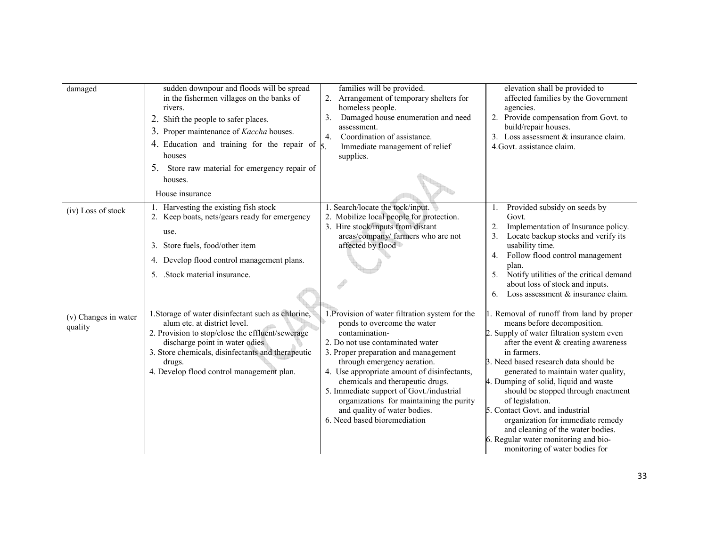| damaged                         | sudden downpour and floods will be spread<br>in the fishermen villages on the banks of<br>rivers.<br>2. Shift the people to safer places.<br>3. Proper maintenance of <i>Kaccha</i> houses.<br>4. Education and training for the repair of $\frac{1}{5}$ .<br>houses<br>5. Store raw material for emergency repair of<br>houses. | families will be provided.<br>2. Arrangement of temporary shelters for<br>homeless people.<br>Damaged house enumeration and need<br>3.<br>assessment.<br>Coordination of assistance.<br>4.<br>Immediate management of relief<br>supplies.                                                                                                                                                                                                              | elevation shall be provided to<br>affected families by the Government<br>agencies.<br>2. Provide compensation from Govt. to<br>build/repair houses.<br>3. Loss assessment & insurance claim.<br>4. Govt. assistance claim.                                                                                                                                                                                                                                                                                                                             |
|---------------------------------|----------------------------------------------------------------------------------------------------------------------------------------------------------------------------------------------------------------------------------------------------------------------------------------------------------------------------------|--------------------------------------------------------------------------------------------------------------------------------------------------------------------------------------------------------------------------------------------------------------------------------------------------------------------------------------------------------------------------------------------------------------------------------------------------------|--------------------------------------------------------------------------------------------------------------------------------------------------------------------------------------------------------------------------------------------------------------------------------------------------------------------------------------------------------------------------------------------------------------------------------------------------------------------------------------------------------------------------------------------------------|
|                                 | House insurance                                                                                                                                                                                                                                                                                                                  |                                                                                                                                                                                                                                                                                                                                                                                                                                                        |                                                                                                                                                                                                                                                                                                                                                                                                                                                                                                                                                        |
| (iv) Loss of stock              | 1. Harvesting the existing fish stock<br>2. Keep boats, nets/gears ready for emergency<br>use.<br>3. Store fuels, food/other item<br>4. Develop flood control management plans.<br>5. Stock material insurance.                                                                                                                  | 1. Search/locate the tock/input.<br>2. Mobilize local people for protection.<br>3. Hire stock/inputs from distant<br>areas/company/ farmers who are not<br>affected by flood                                                                                                                                                                                                                                                                           | Provided subsidy on seeds by<br>1.<br>Govt.<br>2.<br>Implementation of Insurance policy.<br>Locate backup stocks and verify its<br>3 <sub>1</sub><br>usability time.<br>Follow flood control management<br>4.<br>plan.<br>Notify utilities of the critical demand<br>5 <sub>1</sub><br>about loss of stock and inputs.<br>Loss assessment $&$ insurance claim.<br>6.                                                                                                                                                                                   |
| (v) Changes in water<br>quality | 1. Storage of water disinfectant such as chlorine,<br>alum etc. at district level.<br>2. Provision to stop/close the effluent/sewerage<br>discharge point in water odies<br>3. Store chemicals, disinfectants and therapeutic<br>drugs.<br>4. Develop flood control management plan.                                             | 1. Provision of water filtration system for the<br>ponds to overcome the water<br>contamination-<br>2. Do not use contaminated water<br>3. Proper preparation and management<br>through emergency aeration.<br>4. Use appropriate amount of disinfectants,<br>chemicals and therapeutic drugs.<br>5. Immediate support of Govt./industrial<br>organizations for maintaining the purity<br>and quality of water bodies.<br>6. Need based bioremediation | 1. Removal of runoff from land by proper<br>means before decomposition.<br>2. Supply of water filtration system even<br>after the event & creating awareness<br>in farmers.<br>3. Need based research data should be<br>generated to maintain water quality,<br>4. Dumping of solid, liquid and waste<br>should be stopped through enactment<br>of legislation.<br>5. Contact Govt. and industrial<br>organization for immediate remedy<br>and cleaning of the water bodies.<br>6. Regular water monitoring and bio-<br>monitoring of water bodies for |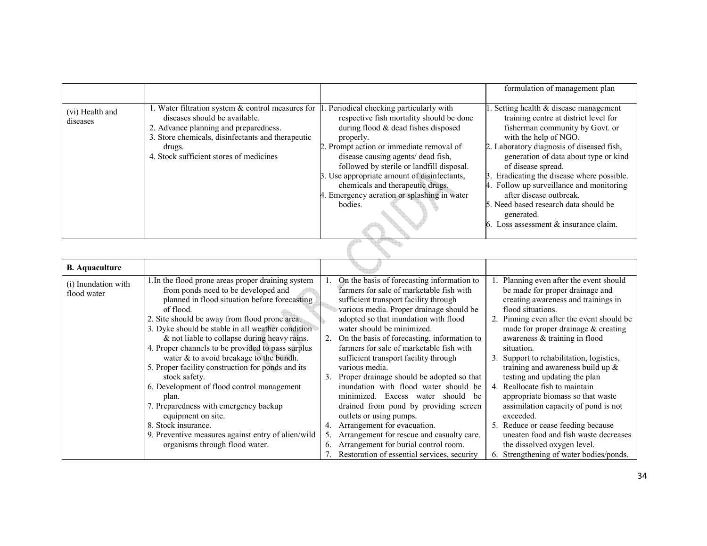|                             |                                                                                                                                                                                                                                       |                                                                                                                                                                                                                                                                                                                                                                                                                   | formulation of management plan                                                                                                                                                                                                                                                                                                                                                                                                                                                   |
|-----------------------------|---------------------------------------------------------------------------------------------------------------------------------------------------------------------------------------------------------------------------------------|-------------------------------------------------------------------------------------------------------------------------------------------------------------------------------------------------------------------------------------------------------------------------------------------------------------------------------------------------------------------------------------------------------------------|----------------------------------------------------------------------------------------------------------------------------------------------------------------------------------------------------------------------------------------------------------------------------------------------------------------------------------------------------------------------------------------------------------------------------------------------------------------------------------|
| (vi) Health and<br>diseases | 1. Water filtration system & control measures for<br>diseases should be available.<br>2. Advance planning and preparedness.<br>3. Store chemicals, disinfectants and therapeutic<br>drugs.<br>4. Stock sufficient stores of medicines | Periodical checking particularly with<br>respective fish mortality should be done<br>during flood & dead fishes disposed<br>properly.<br>2. Prompt action or immediate removal of<br>disease causing agents/ dead fish,<br>followed by sterile or landfill disposal.<br>3. Use appropriate amount of disinfectants,<br>chemicals and therapeutic drugs.<br>4. Emergency aeration or splashing in water<br>bodies. | 1. Setting health $&$ disease management<br>training centre at district level for<br>fisherman community by Govt. or<br>with the help of NGO.<br>2. Laboratory diagnosis of diseased fish,<br>generation of data about type or kind<br>of disease spread.<br>Eradicating the disease where possible.<br>Follow up surveillance and monitoring<br>4.<br>after disease outbreak.<br>5. Need based research data should be<br>generated.<br>6. Loss assessment $&$ insurance claim. |

| <b>B.</b> Aquaculture              |                                                                                                                                                                                                                                                                                                                                                                                                                                                                                                                                                                                                                                                                                                                          |                      |                                                                                                                                                                                                                                                                                                                                                                                                                                                                                                                                                                                                                                                                                                                                                                            |  |                                                                                                                                                                                                                                                                                                                                                                                                                                                                                                                                                                                                                                                                                         |
|------------------------------------|--------------------------------------------------------------------------------------------------------------------------------------------------------------------------------------------------------------------------------------------------------------------------------------------------------------------------------------------------------------------------------------------------------------------------------------------------------------------------------------------------------------------------------------------------------------------------------------------------------------------------------------------------------------------------------------------------------------------------|----------------------|----------------------------------------------------------------------------------------------------------------------------------------------------------------------------------------------------------------------------------------------------------------------------------------------------------------------------------------------------------------------------------------------------------------------------------------------------------------------------------------------------------------------------------------------------------------------------------------------------------------------------------------------------------------------------------------------------------------------------------------------------------------------------|--|-----------------------------------------------------------------------------------------------------------------------------------------------------------------------------------------------------------------------------------------------------------------------------------------------------------------------------------------------------------------------------------------------------------------------------------------------------------------------------------------------------------------------------------------------------------------------------------------------------------------------------------------------------------------------------------------|
| (i) Inundation with<br>flood water | 1. In the flood prone areas proper draining system<br>from ponds need to be developed and<br>planned in flood situation before forecasting<br>of flood.<br>2. Site should be away from flood prone area.<br>3. Dyke should be stable in all weather condition<br>& not liable to collapse during heavy rains.<br>4. Proper channels to be provided to pass surplus<br>water & to avoid breakage to the bundh.<br>5. Proper facility construction for ponds and its<br>stock safety.<br>6. Development of flood control management<br>plan.<br>7. Preparedness with emergency backup<br>equipment on site.<br>8. Stock insurance.<br>9. Preventive measures against entry of alien/wild<br>organisms through flood water. | 3.<br>4.<br>5.<br>6. | On the basis of forecasting information to<br>farmers for sale of marketable fish with<br>sufficient transport facility through<br>various media. Proper drainage should be<br>adopted so that inundation with flood<br>water should be minimized.<br>On the basis of forecasting, information to<br>farmers for sale of marketable fish with<br>sufficient transport facility through<br>various media.<br>Proper drainage should be adopted so that<br>inundation with flood water should be<br>minimized. Excess water should be<br>drained from pond by providing screen<br>outlets or using pumps.<br>Arrangement for evacuation.<br>Arrangement for rescue and casualty care.<br>Arrangement for burial control room.<br>Restoration of essential services, security |  | 1. Planning even after the event should<br>be made for proper drainage and<br>creating awareness and trainings in<br>flood situations.<br>2. Pinning even after the event should be.<br>made for proper drainage $\&$ creating<br>awareness & training in flood<br>situation.<br>3. Support to rehabilitation, logistics,<br>training and awareness build up $\&$<br>testing and updating the plan<br>4. Reallocate fish to maintain<br>appropriate biomass so that waste<br>assimilation capacity of pond is not<br>exceeded.<br>5. Reduce or cease feeding because<br>uneaten food and fish waste decreases<br>the dissolved oxygen level.<br>6. Strengthening of water bodies/ponds. |
|                                    |                                                                                                                                                                                                                                                                                                                                                                                                                                                                                                                                                                                                                                                                                                                          |                      |                                                                                                                                                                                                                                                                                                                                                                                                                                                                                                                                                                                                                                                                                                                                                                            |  |                                                                                                                                                                                                                                                                                                                                                                                                                                                                                                                                                                                                                                                                                         |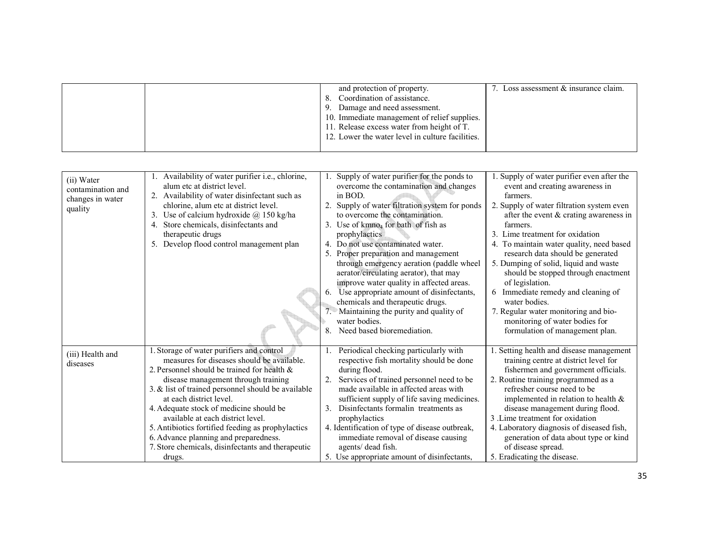|  | and protection of property.<br>Coordination of assistance.<br>Damage and need assessment.<br>9.<br>10. Immediate management of relief supplies.<br>11. Release excess water from height of T. | Loss assessment $\&$ insurance claim. |
|--|-----------------------------------------------------------------------------------------------------------------------------------------------------------------------------------------------|---------------------------------------|
|  | 12. Lower the water level in culture facilities.                                                                                                                                              |                                       |

| (ii) Water<br>contamination and<br>changes in water<br>quality | 1. Availability of water purifier i.e., chlorine,<br>alum etc at district level.<br>2. Availability of water disinfectant such as<br>chlorine, alum etc at district level.<br>3. Use of calcium hydroxide $\omega$ 150 kg/ha<br>4. Store chemicals, disinfectants and<br>therapeutic drugs<br>5. Develop flood control management plan                                                                                                                                                                      | 2.<br>5.<br>6.<br>8 | Supply of water purifier for the ponds to<br>overcome the contamination and changes<br>in BOD.<br>Supply of water filtration system for ponds<br>to overcome the contamination.<br>3. Use of kmno <sub>4</sub> for bath of fish as<br>prophylactics<br>4. Do not use contaminated water.<br>Proper preparation and management<br>through emergency aeration (paddle wheel<br>aerator/circulating aerator), that may<br>improve water quality in affected areas.<br>Use appropriate amount of disinfectants,<br>chemicals and therapeutic drugs.<br>• Maintaining the purity and quality of<br>water bodies.<br>Need based bioremediation. | 1. Supply of water purifier even after the<br>event and creating awareness in<br>farmers.<br>2. Supply of water filtration system even<br>after the event $&$ crating awareness in<br>farmers.<br>3. Lime treatment for oxidation<br>4. To maintain water quality, need based<br>research data should be generated<br>5. Dumping of solid, liquid and waste<br>should be stopped through enactment<br>of legislation.<br>6 Immediate remedy and cleaning of<br>water bodies.<br>7. Regular water monitoring and bio-<br>monitoring of water bodies for<br>formulation of management plan. |
|----------------------------------------------------------------|-------------------------------------------------------------------------------------------------------------------------------------------------------------------------------------------------------------------------------------------------------------------------------------------------------------------------------------------------------------------------------------------------------------------------------------------------------------------------------------------------------------|---------------------|-------------------------------------------------------------------------------------------------------------------------------------------------------------------------------------------------------------------------------------------------------------------------------------------------------------------------------------------------------------------------------------------------------------------------------------------------------------------------------------------------------------------------------------------------------------------------------------------------------------------------------------------|-------------------------------------------------------------------------------------------------------------------------------------------------------------------------------------------------------------------------------------------------------------------------------------------------------------------------------------------------------------------------------------------------------------------------------------------------------------------------------------------------------------------------------------------------------------------------------------------|
| (iii) Health and<br>diseases                                   | 1. Storage of water purifiers and control<br>measures for diseases should be available.<br>2. Personnel should be trained for health &<br>disease management through training<br>3. & list of trained personnel should be available<br>at each district level.<br>4. Adequate stock of medicine should be<br>available at each district level.<br>5. Antibiotics fortified feeding as prophylactics<br>6. Advance planning and preparedness.<br>7. Store chemicals, disinfectants and therapeutic<br>drugs. | 1.<br>3.            | Periodical checking particularly with<br>respective fish mortality should be done<br>during flood.<br>Services of trained personnel need to be<br>made available in affected areas with<br>sufficient supply of life saving medicines.<br>Disinfectants formalin treatments as<br>prophylactics<br>4. Identification of type of disease outbreak,<br>immediate removal of disease causing<br>agents/ dead fish.<br>5. Use appropriate amount of disinfectants,                                                                                                                                                                            | 1. Setting health and disease management<br>training centre at district level for<br>fishermen and government officials.<br>2. Routine training programmed as a<br>refresher course need to be<br>implemented in relation to health $\&$<br>disease management during flood.<br>3. Lime treatment for oxidation<br>4. Laboratory diagnosis of diseased fish,<br>generation of data about type or kind<br>of disease spread.<br>5. Eradicating the disease.                                                                                                                                |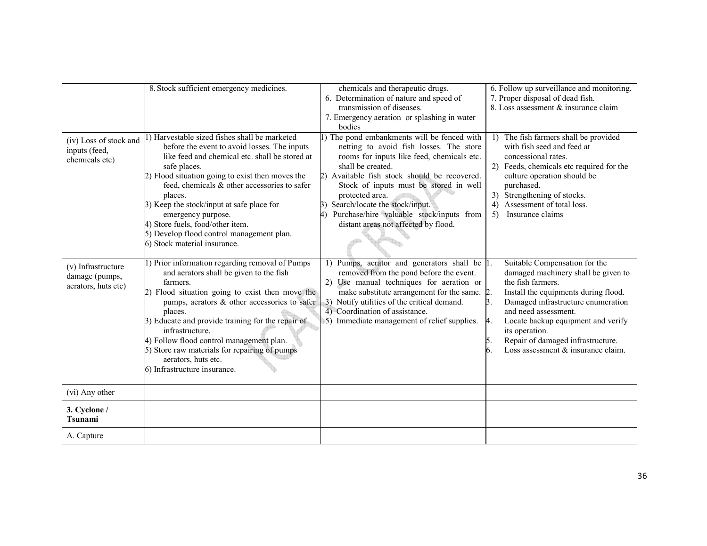|                                                             | 8. Stock sufficient emergency medicines.                                                                                                                                                                                                                                                                                                                                                                                                                          | chemicals and therapeutic drugs.<br>6. Determination of nature and speed of<br>transmission of diseases.<br>7. Emergency aeration or splashing in water<br>bodies                                                                                                                                                                                                                                  | 6. Follow up surveillance and monitoring.<br>7. Proper disposal of dead fish.<br>8. Loss assessment & insurance claim                                                                                                                                                                                                                          |
|-------------------------------------------------------------|-------------------------------------------------------------------------------------------------------------------------------------------------------------------------------------------------------------------------------------------------------------------------------------------------------------------------------------------------------------------------------------------------------------------------------------------------------------------|----------------------------------------------------------------------------------------------------------------------------------------------------------------------------------------------------------------------------------------------------------------------------------------------------------------------------------------------------------------------------------------------------|------------------------------------------------------------------------------------------------------------------------------------------------------------------------------------------------------------------------------------------------------------------------------------------------------------------------------------------------|
| (iv) Loss of stock and<br>inputs (feed,<br>chemicals etc)   | ) Harvestable sized fishes shall be marketed<br>before the event to avoid losses. The inputs<br>like feed and chemical etc. shall be stored at<br>safe places.<br>2) Flood situation going to exist then moves the<br>feed, chemicals & other accessories to safer<br>places.<br>3) Keep the stock/input at safe place for<br>emergency purpose.<br>4) Store fuels, food/other item.<br>5) Develop flood control management plan.<br>6) Stock material insurance. | 1) The pond embankments will be fenced with<br>netting to avoid fish losses. The store<br>rooms for inputs like feed, chemicals etc.<br>shall be created.<br>2) Available fish stock should be recovered.<br>Stock of inputs must be stored in well<br>protected area.<br>3) Search/locate the stock/input.<br>4) Purchase/hire valuable stock/inputs from<br>distant areas not affected by flood. | The fish farmers shall be provided<br>1)<br>with fish seed and feed at<br>concessional rates.<br>2) Feeds, chemicals etc required for the<br>culture operation should be<br>purchased.<br>3) Strengthening of stocks.<br>4) Assessment of total loss.<br>Insurance claims<br>5)                                                                |
| (v) Infrastructure<br>damage (pumps,<br>aerators, huts etc) | 1) Prior information regarding removal of Pumps<br>and aerators shall be given to the fish<br>farmers.<br>2) Flood situation going to exist then move the<br>pumps, aerators & other accessories to safer<br>places.<br>3) Educate and provide training for the repair of<br>infrastructure.<br>4) Follow flood control management plan.<br>5) Store raw materials for repairing of pumps<br>aerators, huts etc.<br>6) Infrastructure insurance.                  | 1) Pumps, aerator and generators shall be  1.<br>removed from the pond before the event.<br>2) Use manual techniques for aeration or<br>make substitute arrangement for the same. 2.<br>3) Notify utilities of the critical demand.<br>4) Coordination of assistance.<br>5) Immediate management of relief supplies.                                                                               | Suitable Compensation for the<br>damaged machinery shall be given to<br>the fish farmers.<br>Install the equipments during flood.<br>3.<br>Damaged infrastructure enumeration<br>and need assessment.<br>Locate backup equipment and verify<br>4.<br>its operation.<br>Repair of damaged infrastructure.<br>Loss assessment & insurance claim. |
| (vi) Any other                                              |                                                                                                                                                                                                                                                                                                                                                                                                                                                                   |                                                                                                                                                                                                                                                                                                                                                                                                    |                                                                                                                                                                                                                                                                                                                                                |
| 3. Cyclone /<br><b>Tsunami</b>                              |                                                                                                                                                                                                                                                                                                                                                                                                                                                                   |                                                                                                                                                                                                                                                                                                                                                                                                    |                                                                                                                                                                                                                                                                                                                                                |
| A. Capture                                                  |                                                                                                                                                                                                                                                                                                                                                                                                                                                                   |                                                                                                                                                                                                                                                                                                                                                                                                    |                                                                                                                                                                                                                                                                                                                                                |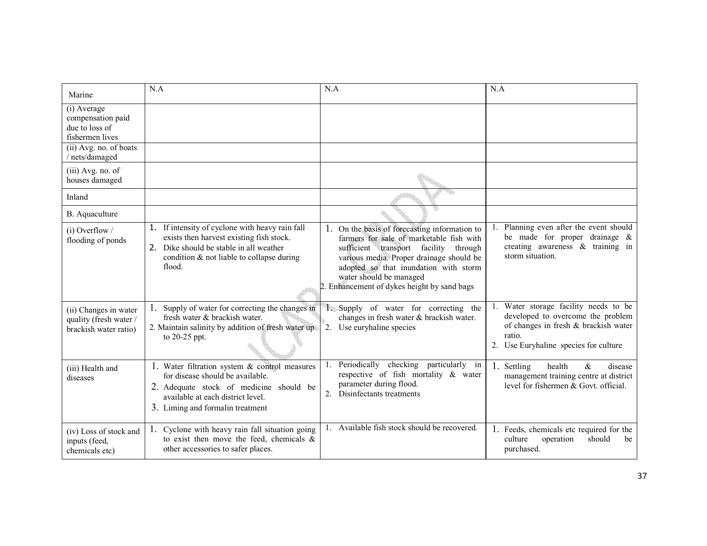| Marine                                                                   | N.A                                                                                                                                                                                                    | N.A                                                                                                                                                                                                                                                                                               | N.A                                                                                                                                                                   |
|--------------------------------------------------------------------------|--------------------------------------------------------------------------------------------------------------------------------------------------------------------------------------------------------|---------------------------------------------------------------------------------------------------------------------------------------------------------------------------------------------------------------------------------------------------------------------------------------------------|-----------------------------------------------------------------------------------------------------------------------------------------------------------------------|
| (i) Average<br>compensation paid<br>due to loss of<br>fishermen lives    |                                                                                                                                                                                                        |                                                                                                                                                                                                                                                                                                   |                                                                                                                                                                       |
| (ii) Avg. no. of boats<br>nets/damaged                                   |                                                                                                                                                                                                        |                                                                                                                                                                                                                                                                                                   |                                                                                                                                                                       |
| (iii) Avg. no. of<br>houses damaged                                      |                                                                                                                                                                                                        |                                                                                                                                                                                                                                                                                                   |                                                                                                                                                                       |
| Inland                                                                   |                                                                                                                                                                                                        |                                                                                                                                                                                                                                                                                                   |                                                                                                                                                                       |
| B. Aquaculture                                                           |                                                                                                                                                                                                        |                                                                                                                                                                                                                                                                                                   |                                                                                                                                                                       |
| $(i)$ Overflow /<br>flooding of ponds                                    | 1. If intensity of cyclone with heavy rain fall<br>exists then harvest existing fish stock.<br>2. Dike should be stable in all weather<br>condition $\&$ not liable to collapse during<br>flood.       | 1. On the basis of forecasting information to<br>farmers for sale of marketable fish with<br>sufficient transport facility through<br>various media. Proper drainage should be<br>adopted so that inundation with storm<br>water should be managed<br>2. Enhancement of dykes height by sand bags | Planning even after the event should<br>be made for proper drainage $\&$<br>creating awareness $\&$ training in<br>storm situation.                                   |
| (ii) Changes in water<br>quality (fresh water /<br>brackish water ratio) | 1. Supply of water for correcting the changes in<br>fresh water & brackish water.<br>2. Maintain salinity by addition of fresh water up<br>to 20-25 ppt.                                               | 1. Supply of water for correcting the<br>changes in fresh water & brackish water.<br>2. Use euryhaline species                                                                                                                                                                                    | Water storage facility needs to be<br>developed to overcome the problem<br>of changes in fresh & brackish water<br>ratio.<br>Use Euryhaline species for culture<br>2. |
| (iii) Health and<br>diseases                                             | 1. Water filtration system & control measures<br>for disease should be available.<br>2. Adequate stock of medicine should be<br>available at each district level.<br>3. Liming and formal in treatment | Periodically checking particularly in<br>respective of fish mortality & water<br>parameter during flood.<br>2. Disinfectants treatments                                                                                                                                                           | 1. Settling<br>health<br>$\&$<br>disease<br>management training centre at district<br>level for fishermen $&$ Govt. official.                                         |
| (iv) Loss of stock and<br>inputs (feed,<br>chemicals etc)                | 1. Cyclone with heavy rain fall situation going<br>to exist then move the feed, chemicals $\&$<br>other accessories to safer places.                                                                   | Available fish stock should be recovered.                                                                                                                                                                                                                                                         | 1. Feeds, chemicals etc required for the<br>culture<br>operation<br>should<br>be<br>purchased.                                                                        |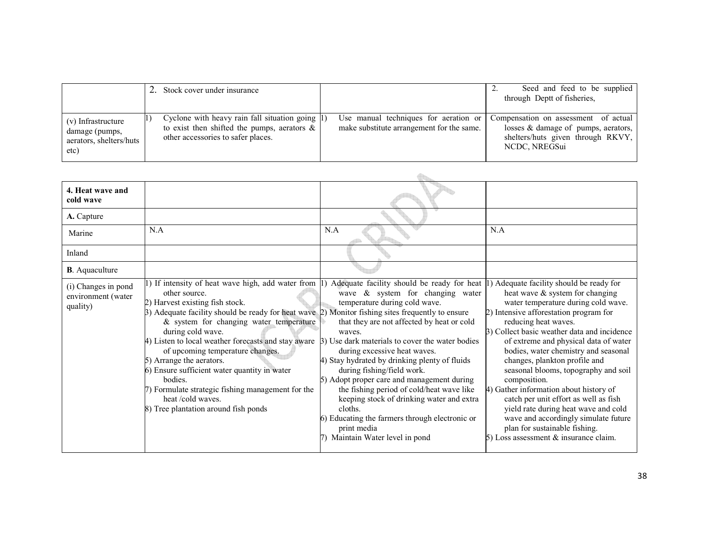|                                                                         | 2. Stock cover under insurance                                                                                                          |                                                                                    | Seed and feed to be supplied<br>through Deptt of fisheries,                                                                       |
|-------------------------------------------------------------------------|-----------------------------------------------------------------------------------------------------------------------------------------|------------------------------------------------------------------------------------|-----------------------------------------------------------------------------------------------------------------------------------|
| (v) Infrastructure<br>damage (pumps,<br>aerators, shelters/huts<br>etc) | Cyclone with heavy rain fall situation going 1)<br>to exist then shifted the pumps, aerators $\&$<br>other accessories to safer places. | Use manual techniques for aeration or<br>make substitute arrangement for the same. | Compensation on assessment of actual<br>losses & damage of pumps, aerators,<br>shelters/huts given through RKVY,<br>NCDC, NREGSui |

| 4. Heat wave and<br>cold wave                         |                                                                                                                                                                                                                                                                                                                                                                                                                                                                                                                                                                                                                                                                                                    |                                                                                                                                                                                                                                                                                                                                                                                                                                                                                                                                                    |                                                                                                                                                                                                                                                                                                                                                                                                                                                                                                                                                                                                                   |
|-------------------------------------------------------|----------------------------------------------------------------------------------------------------------------------------------------------------------------------------------------------------------------------------------------------------------------------------------------------------------------------------------------------------------------------------------------------------------------------------------------------------------------------------------------------------------------------------------------------------------------------------------------------------------------------------------------------------------------------------------------------------|----------------------------------------------------------------------------------------------------------------------------------------------------------------------------------------------------------------------------------------------------------------------------------------------------------------------------------------------------------------------------------------------------------------------------------------------------------------------------------------------------------------------------------------------------|-------------------------------------------------------------------------------------------------------------------------------------------------------------------------------------------------------------------------------------------------------------------------------------------------------------------------------------------------------------------------------------------------------------------------------------------------------------------------------------------------------------------------------------------------------------------------------------------------------------------|
| A. Capture                                            |                                                                                                                                                                                                                                                                                                                                                                                                                                                                                                                                                                                                                                                                                                    |                                                                                                                                                                                                                                                                                                                                                                                                                                                                                                                                                    |                                                                                                                                                                                                                                                                                                                                                                                                                                                                                                                                                                                                                   |
| Marine                                                | N.A                                                                                                                                                                                                                                                                                                                                                                                                                                                                                                                                                                                                                                                                                                | N.A                                                                                                                                                                                                                                                                                                                                                                                                                                                                                                                                                | N.A                                                                                                                                                                                                                                                                                                                                                                                                                                                                                                                                                                                                               |
| Inland                                                |                                                                                                                                                                                                                                                                                                                                                                                                                                                                                                                                                                                                                                                                                                    |                                                                                                                                                                                                                                                                                                                                                                                                                                                                                                                                                    |                                                                                                                                                                                                                                                                                                                                                                                                                                                                                                                                                                                                                   |
| <b>B</b> . Aquaculture                                |                                                                                                                                                                                                                                                                                                                                                                                                                                                                                                                                                                                                                                                                                                    |                                                                                                                                                                                                                                                                                                                                                                                                                                                                                                                                                    |                                                                                                                                                                                                                                                                                                                                                                                                                                                                                                                                                                                                                   |
| (i) Changes in pond<br>environment (water<br>quality) | 1) If intensity of heat wave high, add water from $\ket{1}$ Adequate facility should be ready for heat $\ket{1}$ Adequate facility should be ready for<br>other source.<br>2) Harvest existing fish stock.<br>$\beta$ ) Adequate facility should be ready for heat wave $\beta$ ) Monitor fishing sites frequently to ensure<br>$&$ system for changing water temperature<br>during cold wave.<br>4) Listen to local weather forecasts and stay aware<br>of upcoming temperature changes.<br>5) Arrange the aerators.<br>6) Ensure sufficient water quantity in water<br>bodies.<br>7) Formulate strategic fishing management for the<br>heat /cold waves.<br>8) Tree plantation around fish ponds | wave & system for changing water<br>temperature during cold wave.<br>that they are not affected by heat or cold<br>waves.<br>3) Use dark materials to cover the water bodies<br>during excessive heat waves.<br>4) Stay hydrated by drinking plenty of fluids<br>during fishing/field work.<br>5) Adopt proper care and management during<br>the fishing period of cold/heat wave like<br>keeping stock of drinking water and extra<br>cloths.<br>6) Educating the farmers through electronic or<br>print media<br>7) Maintain Water level in pond | heat wave & system for changing<br>water temperature during cold wave.<br>2) Intensive afforestation program for<br>reducing heat waves.<br>3) Collect basic weather data and incidence<br>of extreme and physical data of water<br>bodies, water chemistry and seasonal<br>changes, plankton profile and<br>seasonal blooms, topography and soil<br>composition.<br>4) Gather information about history of<br>catch per unit effort as well as fish<br>yield rate during heat wave and cold<br>wave and accordingly simulate future<br>plan for sustainable fishing.<br>5) Loss assessment $\&$ insurance claim. |